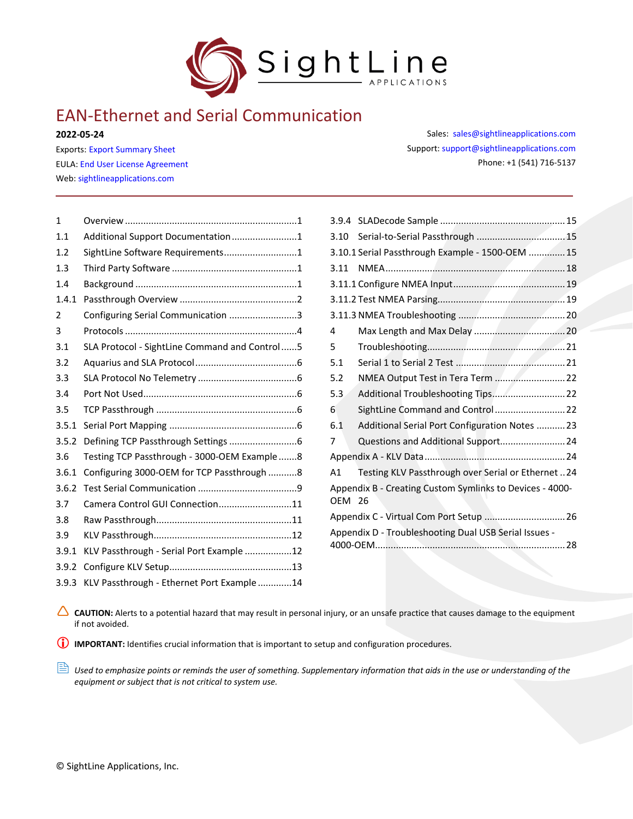

# EAN-Ethernet and Serial Communication

**2022-05-24**

Exports: [Export Summary Sheet](https://sightlineapplications.com/wp-content/uploads/Exports-Summary.pdf) EULA[: End User License Agreement](https://sightlineapplications.com/wp-content/uploads/SightLine-Product-License.pdf) Web[: sightlineapplications.com](https://sightlineapplications.com/)

| $\mathbf{1}$ |                                               |  |
|--------------|-----------------------------------------------|--|
| 1.1          | Additional Support Documentation1             |  |
| 1.2          | SightLine Software Requirements1              |  |
| 1.3          |                                               |  |
| 1.4          |                                               |  |
| 1.4.1        |                                               |  |
| 2            | Configuring Serial Communication 3            |  |
| 3            |                                               |  |
| 3.1          | SLA Protocol - SightLine Command and Control5 |  |
| 3.2          |                                               |  |
| 3.3          |                                               |  |
| 3.4          |                                               |  |
| 3.5          |                                               |  |
| 3.5.1        |                                               |  |
| 3.5.2        |                                               |  |
| 3.6          | Testing TCP Passthrough - 3000-OEM Example8   |  |
| 3.6.1        | Configuring 3000-OEM for TCP Passthrough 8    |  |
| 3.6.2        |                                               |  |
| 3.7          | Camera Control GUI Connection11               |  |
| 3.8          |                                               |  |
| 3.9          |                                               |  |
| 3.9.1        | KLV Passthrough - Serial Port Example 12      |  |
| 3.9.2        |                                               |  |
| 3.9.3        | KLV Passthrough - Ethernet Port Example 14    |  |

Sales: [sales@sightlineapplications.com](mailto:sales@sightlineapplications.com) Support[: support@sightlineapplications.com](mailto:support@sightlineapplications.com) Phone: +1 (541) 716-5137

| 3.10          |                                                          |
|---------------|----------------------------------------------------------|
|               | 3.10.1 Serial Passthrough Example - 1500-OEM  15         |
| 3.11          |                                                          |
|               |                                                          |
|               |                                                          |
|               |                                                          |
| 4             |                                                          |
| 5             |                                                          |
| 5.1           |                                                          |
| 5.2           | NMEA Output Test in Tera Term 22                         |
| 5.3           |                                                          |
| 6             | SightLine Command and Control 22                         |
| 6.1           | Additional Serial Port Configuration Notes  23           |
| 7             | Questions and Additional Support 24                      |
|               |                                                          |
| A1            | Testing KLV Passthrough over Serial or Ethernet 24       |
| <b>OEM 26</b> | Appendix B - Creating Custom Symlinks to Devices - 4000- |
|               | Appendix C - Virtual Com Port Setup  26                  |
|               | Appendix D - Troubleshooting Dual USB Serial Issues -    |

CAUTION: Alerts to a potential hazard that may result in personal injury, or an unsafe practice that causes damage to the equipment if not avoided.

**IMPORTANT:** Identifies crucial information that is important to setup and configuration procedures.

 *Used to emphasize points or reminds the user of something. Supplementary information that aids in the use or understanding of the equipment or subject that is not critical to system use.*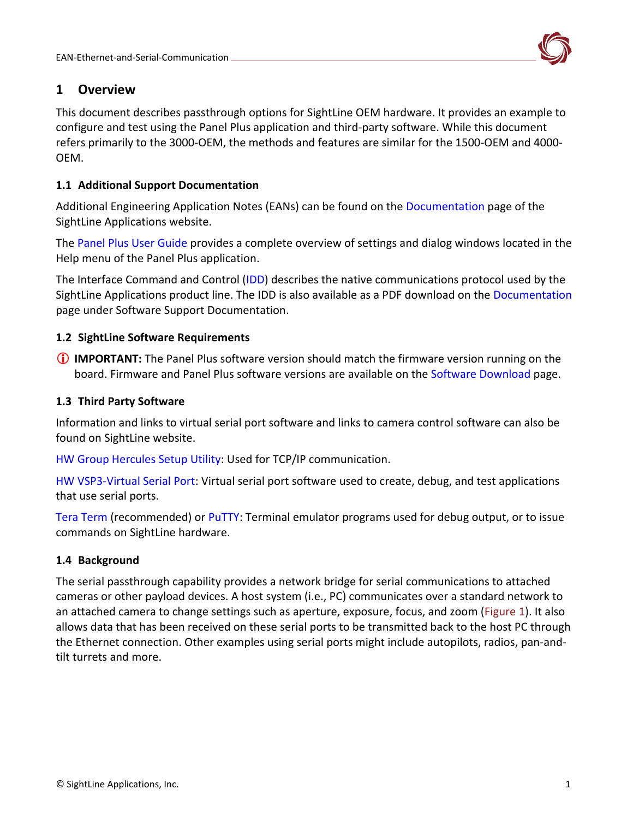

# <span id="page-1-0"></span>**1 Overview**

This document describes passthrough options for SightLine OEM hardware. It provides an example to configure and test using the Panel Plus application and third-party software. While this document refers primarily to the 3000-OEM, the methods and features are similar for the 1500-OEM and 4000- OEM.

### <span id="page-1-1"></span>**1.1 Additional Support Documentation**

Additional Engineering Application Notes (EANs) can be found on the [Documentation](https://sightlineapplications.com/documentation/) page of the SightLine Applications website.

The [Panel Plus User Guide](https://sightlineapplications.com/downloads/) provides a complete overview of settings and dialog windows located in the Help menu of the Panel Plus application.

The Interface Command and Control [\(IDD\)](https://sightlineapplications.com/releases/IDD/current/index.html) describes the native communications protocol used by the SightLine Applications product line. The IDD is also available as a PDF download on the [Documentation](https://sightlineapplications.com/documentation/) page under Software Support Documentation.

### <span id="page-1-2"></span>**1.2 SightLine Software Requirements**

 **IMPORTANT:** The Panel Plus software version should match the firmware version running on the board. Firmware and Panel Plus software versions are available on the [Software Download](https://sightlineapplications.com/downloads/) page.

### <span id="page-1-3"></span>**1.3 Third Party Software**

Information and links to virtual serial port software and links to camera control software can also be found on SightLine website.

[HW Group Hercules Setup Utility:](https://www.hw-group.com/software/hercules-setup-utility) Used for TCP/IP communication.

[HW VSP3-Virtual Serial Port:](https://www.hw-group.com/software/hw-vsp3-virtual-serial-port) Virtual serial port software used to create, debug, and test applications that use serial ports.

[Tera Term](https://ttssh2.osdn.jp/index.html.en) (recommended) or [PuTTY:](https://putty.org/) Terminal emulator programs used for debug output, or to issue commands on SightLine hardware.

### <span id="page-1-4"></span>**1.4 Background**

The serial passthrough capability provides a network bridge for serial communications to attached cameras or other payload devices. A host system (i.e., PC) communicates over a standard network to an attached camera to change settings such as aperture, exposure, focus, and zoom (Figure 1). It also allows data that has been received on these serial ports to be transmitted back to the host PC through the Ethernet connection. Other examples using serial ports might include autopilots, radios, pan-andtilt turrets and more.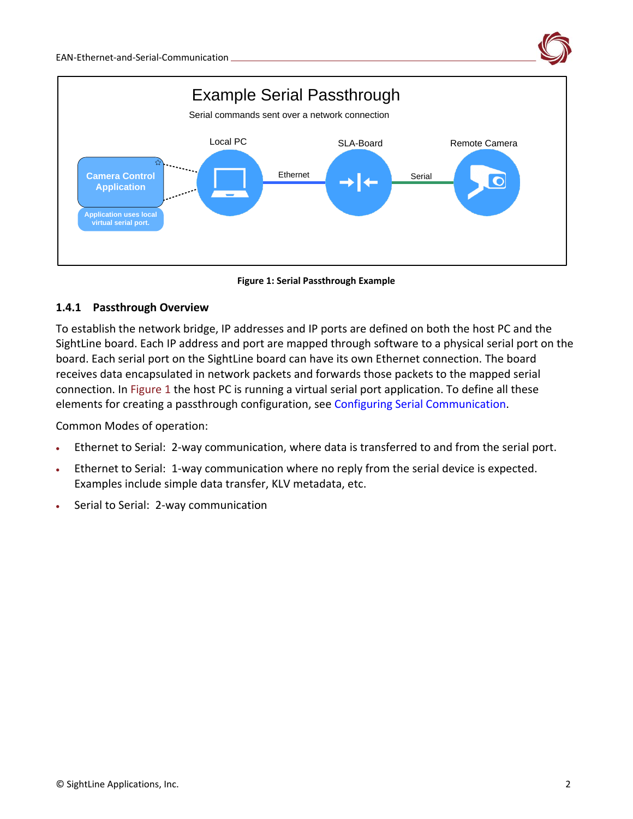

**Figure 1: Serial Passthrough Example**

### <span id="page-2-0"></span>**1.4.1 Passthrough Overview**

To establish the network bridge, IP addresses and IP ports are defined on both the host PC and the SightLine board. Each IP address and port are mapped through software to a physical serial port on the board. Each serial port on the SightLine board can have its own Ethernet connection. The board receives data encapsulated in network packets and forwards those packets to the mapped serial connection. In Figure 1 the host PC is running a virtual serial port application. To define all these elements for creating a passthrough configuration, see [Configuring Serial Communication.](#page-3-0)

Common Modes of operation:

- Ethernet to Serial: 2-way communication, where data is transferred to and from the serial port.
- Ethernet to Serial: 1-way communication where no reply from the serial device is expected. Examples include simple data transfer, KLV metadata, etc.
- Serial to Serial: 2-way communication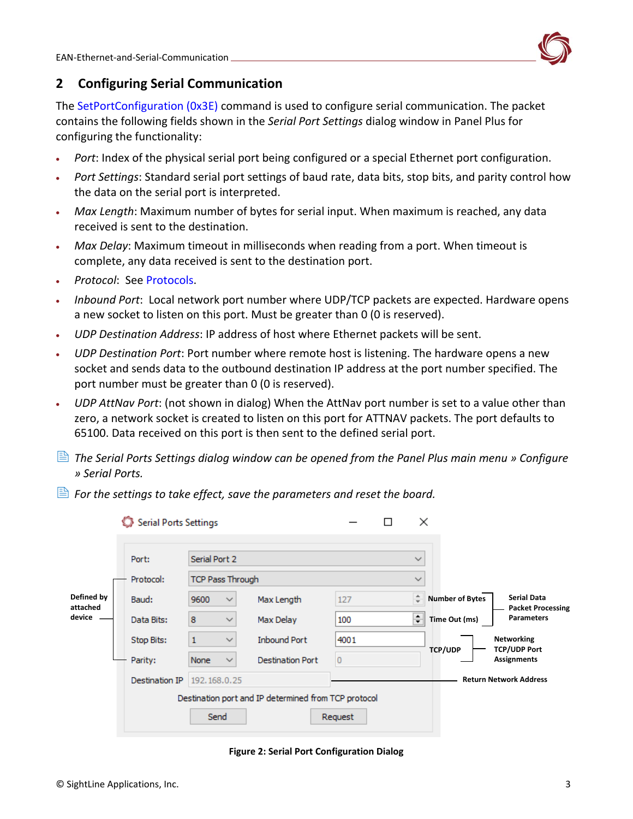

# <span id="page-3-0"></span>**2 Configuring Serial Communication**

The [SetPortConfiguration \(0x3E\)](https://sightlineapplications.com/releases/IDD/current/struct_s_l_a_set_port_configuration__t.html) command is used to configure serial communication. The packet contains the following fields shown in the *Serial Port Settings* dialog window in Panel Plus for configuring the functionality:

- *Port*: Index of the physical serial port being configured or a special Ethernet port configuration.
- *Port Settings*: Standard serial port settings of baud rate, data bits, stop bits, and parity control how the data on the serial port is interpreted.
- *Max Length*: Maximum number of bytes for serial input. When maximum is reached, any data received is sent to the destination.
- *Max Delay*: Maximum timeout in milliseconds when reading from a port. When timeout is complete, any data received is sent to the destination port.
- *Protocol*: See [Protocols.](#page-4-1)
- *Inbound Port*: Local network port number where UDP/TCP packets are expected. Hardware opens a new socket to listen on this port. Must be greater than 0 (0 is reserved).
- *UDP Destination Address*: IP address of host where Ethernet packets will be sent.
- *UDP Destination Port*: Port number where remote host is listening. The hardware opens a new socket and sends data to the outbound destination IP address at the port number specified. The port number must be greater than 0 (0 is reserved).
- *UDP AttNav Port*: (not shown in dialog) When the AttNav port number is set to a value other than zero, a network socket is created to listen on this port for ATTNAV packets. The port defaults to 65100. Data received on this port is then sent to the defined serial port.
- *The Serial Ports Settings dialog window can be opened from the Panel Plus main menu » Configure » Serial Ports.*
- $\triangleq$  *For the settings to take effect, save the parameters and reset the board.*

|                                  | <b>Serial Ports Settings</b> |                              |                                                      |                |              | ×                      |                                                |
|----------------------------------|------------------------------|------------------------------|------------------------------------------------------|----------------|--------------|------------------------|------------------------------------------------|
|                                  | Port:                        | Serial Port 2                |                                                      | $\checkmark$   |              |                        |                                                |
|                                  | Protocol:                    | <b>TCP Pass Through</b>      |                                                      |                | $\checkmark$ |                        |                                                |
| Defined by<br>attached<br>device | Baud:                        | 9600<br>$\sim$               | Max Length                                           | 127            | ÷            | <b>Number of Bytes</b> | <b>Serial Data</b><br><b>Packet Processing</b> |
|                                  | Data Bits:                   | 8<br>$\checkmark$            | Max Delay                                            | 100            | ≑∥           | Time Out (ms)          | <b>Parameters</b>                              |
|                                  | Stop Bits:                   | $\mathbf{1}$<br>$\checkmark$ | <b>Inbound Port</b>                                  | 4001           |              | <b>TCP/UDP</b>         | Networking<br><b>TCP/UDP Port</b>              |
|                                  | Parity:                      | None<br>$\checkmark$         | <b>Destination Port</b>                              | $\overline{0}$ |              |                        | <b>Assignments</b>                             |
|                                  | Destination IP               | 192.168.0.25                 |                                                      |                |              |                        | <b>Return Network Address</b>                  |
|                                  |                              |                              | Destination port and IP determined from TCP protocol |                |              |                        |                                                |
|                                  |                              | Send                         |                                                      | Request        |              |                        |                                                |

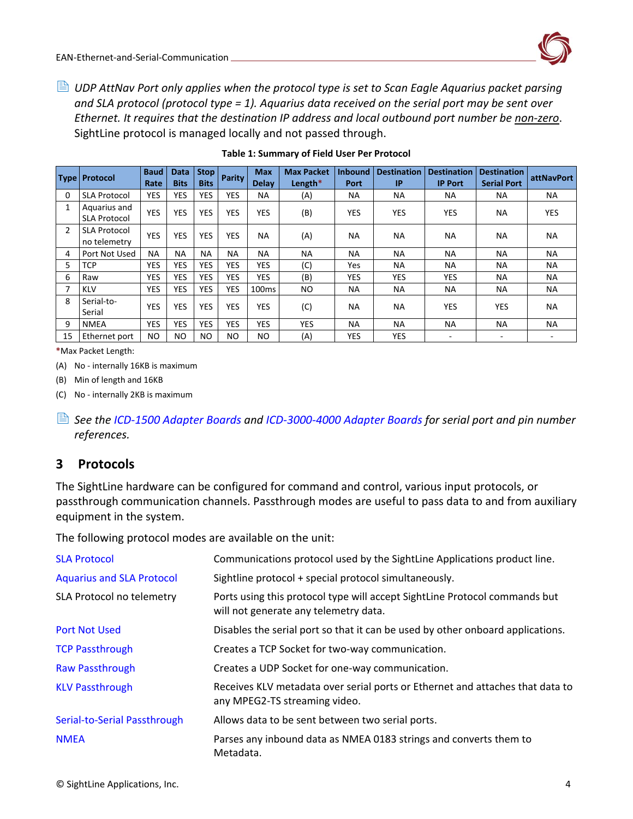*UDP AttNav Port only applies when the protocol type is set to Scan Eagle Aquarius packet parsing and SLA protocol (protocol type = 1). Aquarius data received on the serial port may be sent over Ethernet. It requires that the destination IP address and local outbound port number be non-zero*. SightLine protocol is managed locally and not passed through.

|    | Type   Protocol     | <b>Baud</b>    | <b>Data</b> | Stop <b>I</b> | Parity     | <b>Max</b>        | <b>Max Packet</b> | <b>Inbound</b> | <b>Destination</b> | <b>Destination</b> | <b>Destination</b> | attNavPort |
|----|---------------------|----------------|-------------|---------------|------------|-------------------|-------------------|----------------|--------------------|--------------------|--------------------|------------|
|    |                     | Rate           | <b>Bits</b> | <b>Bits</b>   |            | <b>Delay</b>      | Length*           | Port           | IP                 | <b>IP Port</b>     | <b>Serial Port</b> |            |
| 0  | <b>SLA Protocol</b> | <b>YES</b>     | <b>YES</b>  | <b>YES</b>    | <b>YES</b> | NA.               | (A)               | <b>NA</b>      | <b>NA</b>          | <b>NA</b>          | <b>NA</b>          | <b>NA</b>  |
|    | Aquarius and        | <b>YES</b>     | <b>YES</b>  | <b>YES</b>    | <b>YES</b> | <b>YES</b>        | (B)               | <b>YES</b>     | <b>YES</b>         | <b>YES</b>         | <b>NA</b>          | <b>YES</b> |
|    | <b>SLA Protocol</b> |                |             |               |            |                   |                   |                |                    |                    |                    |            |
| 2  | <b>SLA Protocol</b> | <b>YES</b>     | <b>YES</b>  | <b>YES</b>    | <b>YES</b> | <b>NA</b>         |                   | <b>NA</b>      | <b>NA</b>          | <b>NA</b>          | <b>NA</b>          | <b>NA</b>  |
|    | no telemetry        |                |             |               |            |                   | (A)               |                |                    |                    |                    |            |
| 4  | Port Not Used       | <b>NA</b>      | <b>NA</b>   | <b>NA</b>     | NA.        | <b>NA</b>         | <b>NA</b>         | <b>NA</b>      | <b>NA</b>          | <b>NA</b>          | <b>NA</b>          | <b>NA</b>  |
| 5  | <b>TCP</b>          | <b>YES</b>     | <b>YES</b>  | <b>YES</b>    | YES        | <b>YES</b>        | (C)               | Yes            | <b>NA</b>          | <b>NA</b>          | <b>NA</b>          | <b>NA</b>  |
| 6  | Raw                 | <b>YES</b>     | <b>YES</b>  | <b>YES</b>    | YES        | <b>YES</b>        | (B)               | <b>YES</b>     | <b>YES</b>         | <b>YES</b>         | <b>NA</b>          | <b>NA</b>  |
|    | <b>KLV</b>          | <b>YES</b>     | <b>YES</b>  | <b>YES</b>    | YES        | 100 <sub>ms</sub> | NO.               | <b>NA</b>      | <b>NA</b>          | <b>NA</b>          | <b>NA</b>          | <b>NA</b>  |
| 8  | Serial-to-          | YES            | <b>YES</b>  | <b>YES</b>    | <b>YES</b> | <b>YES</b>        |                   | <b>NA</b>      | <b>NA</b>          | <b>YES</b>         | YES                | <b>NA</b>  |
|    | Serial              |                |             |               |            |                   | (C)               |                |                    |                    |                    |            |
| 9  | <b>NMEA</b>         | YES            | YES         | <b>YES</b>    | <b>YES</b> | <b>YES</b>        | YES               | <b>NA</b>      | <b>NA</b>          | <b>NA</b>          | <b>NA</b>          | <b>NA</b>  |
| 15 | Ethernet port       | N <sub>O</sub> | NO          | NO.           | NO.        | N <sub>O</sub>    | (A)               | YES            | <b>YES</b>         | ٠                  | ۰.                 |            |

#### **Table 1: Summary of Field User Per Protocol**

<span id="page-4-1"></span>**\***Max Packet Length:

(A) No - internally 16KB is maximum

(B) Min of length and 16KB

(C) No - internally 2KB is maximum

 *See the [ICD-1500 Adapter Boards](http://sightlineapplications.com/wp-content/uploads/ICD-1500-Adapter-Boards.pdf) and [ICD-3000-4000 Adapter Boards](http://sightlineapplications.com/wp-content/uploads/ICD-3000-4000-Adapter-Boards.pdf) for serial port and pin number references.*

### <span id="page-4-0"></span>**3 Protocols**

The SightLine hardware can be configured for command and control, various input protocols, or passthrough communication channels. Passthrough modes are useful to pass data to and from auxiliary equipment in the system.

The following protocol modes are available on the unit:

| <b>SLA Protocol</b>              | Communications protocol used by the SightLine Applications product line.                                            |
|----------------------------------|---------------------------------------------------------------------------------------------------------------------|
| <b>Aquarius and SLA Protocol</b> | Sightline protocol + special protocol simultaneously.                                                               |
| SLA Protocol no telemetry        | Ports using this protocol type will accept SightLine Protocol commands but<br>will not generate any telemetry data. |
| <b>Port Not Used</b>             | Disables the serial port so that it can be used by other onboard applications.                                      |
| <b>TCP Passthrough</b>           | Creates a TCP Socket for two-way communication.                                                                     |
| <b>Raw Passthrough</b>           | Creates a UDP Socket for one-way communication.                                                                     |
| <b>KLV Passthrough</b>           | Receives KLV metadata over serial ports or Ethernet and attaches that data to<br>any MPEG2-TS streaming video.      |
| Serial-to-Serial Passthrough     | Allows data to be sent between two serial ports.                                                                    |
| <b>NMEA</b>                      | Parses any inbound data as NMEA 0183 strings and converts them to<br>Metadata.                                      |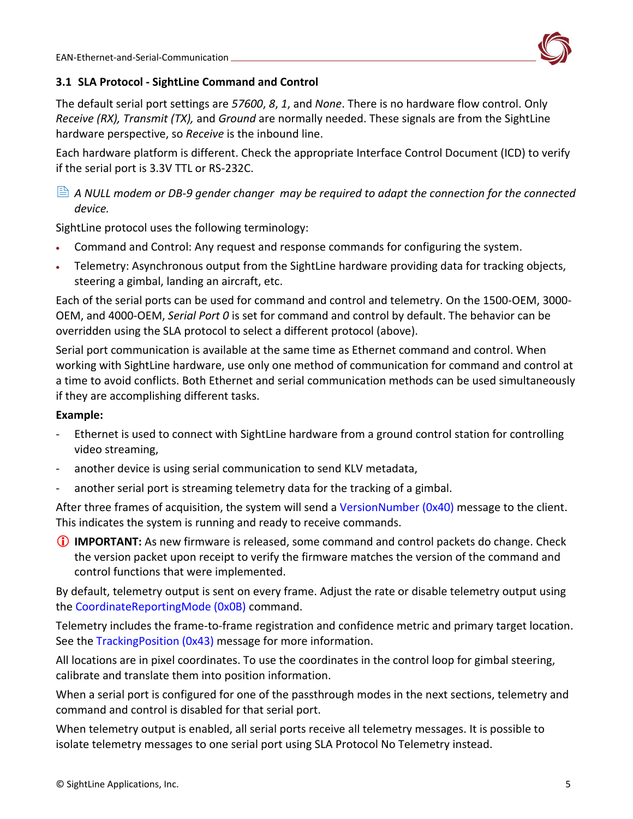

### <span id="page-5-0"></span>**3.1 SLA Protocol - SightLine Command and Control**

The default serial port settings are *57600*, *8*, *1*, and *None*. There is no hardware flow control. Only *Receive (RX), Transmit (TX),* and *Ground* are normally needed. These signals are from the SightLine hardware perspective, so *Receive* is the inbound line.

Each hardware platform is different. Check the appropriate Interface Control Document (ICD) to verify if the serial port is 3.3V TTL or RS-232C.

 *A NULL modem or DB-9 gender changer may be required to adapt the connection for the connected device.*

SightLine protocol uses the following terminology:

- Command and Control: Any request and response commands for configuring the system.
- Telemetry: Asynchronous output from the SightLine hardware providing data for tracking objects, steering a gimbal, landing an aircraft, etc.

Each of the serial ports can be used for command and control and telemetry. On the 1500-OEM, 3000- OEM, and 4000-OEM, *Serial Port 0* is set for command and control by default. The behavior can be overridden using the SLA protocol to select a different protocol [\(above\)](#page-4-1).

Serial port communication is available at the same time as Ethernet command and control. When working with SightLine hardware, use only one method of communication for command and control at a time to avoid conflicts. Both Ethernet and serial communication methods can be used simultaneously if they are accomplishing different tasks.

### **Example:**

- Ethernet is used to connect with SightLine hardware from a ground control station for controlling video streaming,
- another device is using serial communication to send KLV metadata,
- another serial port is streaming telemetry data for the tracking of a gimbal.

After three frames of acquisition, the system will send a [VersionNumber](https://sightlineapplications.com/releases/IDD/current/struct_s_l_a_version_number__t.html) (0x40) message to the client. This indicates the system is running and ready to receive commands.

 **IMPORTANT:** As new firmware is released, some command and control packets do change. Check the version packet upon receipt to verify the firmware matches the version of the command and control functions that were implemented.

By default, telemetry output is sent on every frame. Adjust the rate or disable telemetry output using the [CoordinateReportingMode \(0x0B\)](https://sightlineapplications.com/releases/IDD/current/struct_s_l_a_coordinate_reporting_mode__t.html) command.

Telemetry includes the frame-to-frame registration and confidence metric and primary target location. See the [TrackingPosition \(0x43\)](https://sightlineapplications.com/releases/IDD/current/struct_s_l_a_tracking_position__t.html) message for more information.

All locations are in pixel coordinates. To use the coordinates in the control loop for gimbal steering, calibrate and translate them into position information.

When a serial port is configured for one of the passthrough modes in the next sections, telemetry and command and control is disabled for that serial port.

When telemetry output is enabled, all serial ports receive all telemetry messages. It is possible to isolate telemetry messages to one serial port using [SLA Protocol No Telemetry](#page-6-1) instead.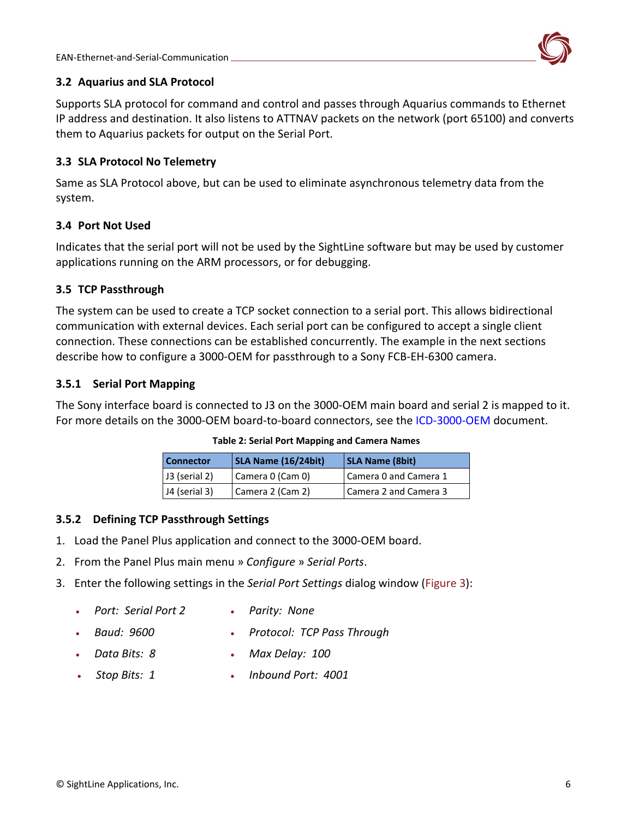

### <span id="page-6-0"></span>**3.2 Aquarius and SLA Protocol**

Supports SLA protocol for command and control and passes through Aquarius commands to Ethernet IP address and destination. It also listens to ATTNAV packets on the network (port 65100) and converts them to Aquarius packets for output on the Serial Port.

### <span id="page-6-1"></span>**3.3 SLA Protocol No Telemetry**

Same as SLA Protocol [above,](#page-5-0) but can be used to eliminate asynchronous telemetry data from the system.

### <span id="page-6-2"></span>**3.4 Port Not Used**

Indicates that the serial port will not be used by the SightLine software but may be used by customer applications running on the ARM processors, or for debugging.

### <span id="page-6-3"></span>**3.5 TCP Passthrough**

The system can be used to create a TCP socket connection to a serial port. This allows bidirectional communication with external devices. Each serial port can be configured to accept a single client connection. These connections can be established concurrently. The example in the next sections describe how to configure a 3000-OEM for passthrough to a Sony FCB-EH-6300 camera.

### <span id="page-6-4"></span>**3.5.1 Serial Port Mapping**

The Sony interface board is connected to J3 on the 3000-OEM main board and serial 2 is mapped to it. For more details on the 3000-OEM board-to-board connectors, see the [ICD-3000-OEM](http://sightlineapplications.com/wp-content/uploads/ICD-3000-OEM.pdf) document.

| <b>Connector</b> | <b>SLA Name (16/24bit)</b> | <b>SLA Name (8bit)</b> |
|------------------|----------------------------|------------------------|
| J3 (serial 2)    | Camera 0 (Cam 0)           | Camera 0 and Camera 1  |
| J4 (serial 3)    | Camera 2 (Cam 2)           | Camera 2 and Camera 3  |

#### **Table 2: Serial Port Mapping and Camera Names**

#### <span id="page-6-5"></span>**3.5.2 Defining TCP Passthrough Settings**

- 1. Load the Panel Plus application and connect to the 3000-OEM board.
- 2. From the Panel Plus main menu » *Configure* » *Serial Ports*.
- 3. Enter the following settings in the *Serial Port Settings* dialog window (Figure 3):
	- *Port: Serial Port 2*
- *Parity: None*
- *Baud: 9600*
- *Protocol: TCP Pass Through*
- 
- 
- *Data Bits: 8*
- *Max Delay: 100*
- *Stop Bits: 1*
- *Inbound Port: 4001*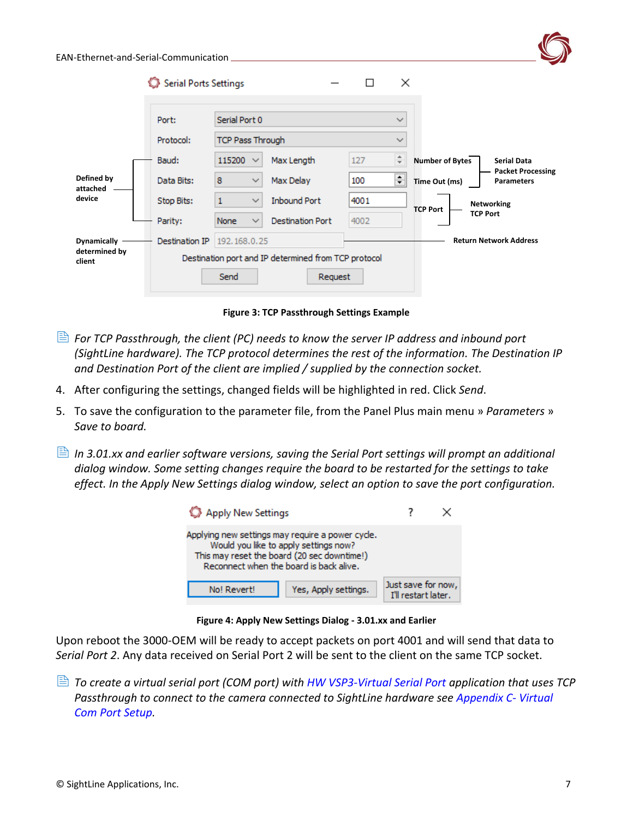| EAN-Ethernet-and-Serial-Communication |                       |                              |                                                      |               |                        |                                               |
|---------------------------------------|-----------------------|------------------------------|------------------------------------------------------|---------------|------------------------|-----------------------------------------------|
|                                       | Serial Ports Settings |                              |                                                      | ×<br>□        |                        |                                               |
|                                       | Port:                 | Serial Port 0                |                                                      | $\checkmark$  |                        |                                               |
|                                       | Protocol:             | <b>TCP Pass Through</b>      |                                                      | $\checkmark$  |                        |                                               |
|                                       | Baud:                 | 115200 $\vee$                | Max Length                                           | $\div$<br>127 | <b>Number of Bytes</b> | <b>Serial Data</b>                            |
| Defined by<br>attached                | Data Bits:            | 8<br>$\checkmark$            | Max Delay                                            | ÷<br>100      | Time Out (ms)          | <b>Packet Processing</b><br><b>Parameters</b> |
| device                                | Stop Bits:            | $\mathbf{1}$<br>$\checkmark$ | <b>Inbound Port</b>                                  | 4001          | <b>TCP Port</b>        | <b>Networking</b>                             |
|                                       | Parity:               | <b>None</b><br>$\checkmark$  | <b>Destination Port</b>                              | 4002          |                        | <b>TCP Port</b>                               |
| <b>Dynamically</b>                    | Destination IP        | 192, 168, 0, 25              |                                                      |               |                        | <b>Return Network Address</b>                 |
| determined by<br>client               |                       |                              | Destination port and IP determined from TCP protocol |               |                        |                                               |
|                                       |                       | Send                         | Request                                              |               |                        |                                               |
|                                       |                       |                              |                                                      |               |                        |                                               |

**Figure 3: TCP Passthrough Settings Example**

- *For TCP Passthrough, the client (PC) needs to know the server IP address and inbound port (SightLine hardware). The TCP protocol determines the rest of the information. The Destination IP and Destination Port of the client are implied / supplied by the connection socket.*
- 4. After configuring the settings, changed fields will be highlighted in red. Click *Send*.
- 5. To save the configuration to the parameter file, from the Panel Plus main menu » *Parameters* » *Save to board.*
- **In 3.01.xx and earlier software versions, saving the Serial Port settings will prompt an additional** *dialog window. Some setting changes require the board to be restarted for the settings to take effect. In the Apply New Settings dialog window, select an option to save the port configuration.*

| Apply New Settings                                                                                                                                                                  |                                           |  |
|-------------------------------------------------------------------------------------------------------------------------------------------------------------------------------------|-------------------------------------------|--|
| Applying new settings may require a power cycle.<br>Would you like to apply settings now?<br>This may reset the board (20 sec downtime!)<br>Reconnect when the board is back alive. |                                           |  |
| Yes, Apply settings.<br>No! Revert!                                                                                                                                                 | Just save for now,<br>I'll restart later. |  |

**Figure 4: Apply New Settings Dialog - 3.01.xx and Earlier**

Upon reboot the 3000-OEM will be ready to accept packets on port 4001 and will send that data to *Serial Port 2*. Any data received on Serial Port 2 will be sent to the client on the same TCP socket.

 *To create a virtual serial port (COM port) with [HW VSP3-Virtual Serial Port](https://www.hw-group.com/software/hw-vsp3-virtual-serial-port) application that uses TCP Passthrough to connect to the camera connected to SightLine hardware see [Appendix C-](#page-26-1) Virtual [Com Port](#page-26-1) Setup.*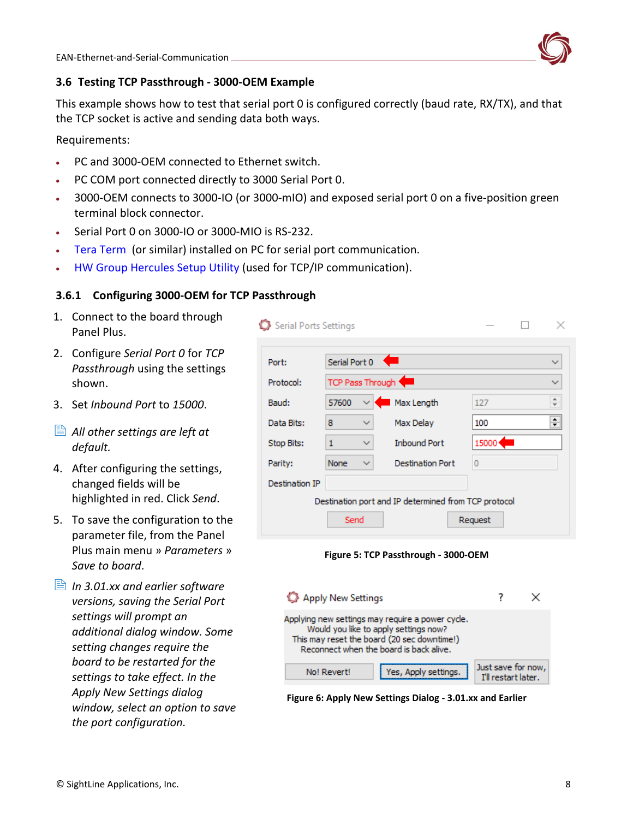

### <span id="page-8-0"></span>**3.6 Testing TCP Passthrough - 3000-OEM Example**

This example shows how to test that serial port 0 is configured correctly (baud rate, RX/TX), and that the TCP socket is active and sending data both ways.

Requirements:

- PC and 3000-OEM connected to Ethernet switch.
- PC COM port connected directly to 3000 Serial Port 0.
- 3000-OEM connects to 3000-IO (or 3000-mIO) and exposed serial port 0 on a five-position green terminal block connector.
- Serial Port 0 on 3000-IO or 3000-MIO is RS-232.
- [Tera Term](https://ttssh2.osdn.jp/index.html.en) (or similar) installed on PC for serial port communication.
- [HW Group Hercules Setup Utility](https://www.hw-group.com/software/hercules-setup-utility) (used for TCP/IP communication).

### <span id="page-8-1"></span>**3.6.1 Configuring 3000-OEM for TCP Passthrough**

- 1. Connect to the board through Panel Plus.
- 2. Configure *Serial Port 0* for *TCP Passthrough* using the settings shown.
- 3. Set *Inbound Port* to *15000*.
- *All other settings are left at default.*
- 4. After configuring the settings, changed fields will be highlighted in red. Click *Send*.
- 5. To save the configuration to the parameter file, from the Panel Plus main menu » *Parameters* » *Save to board*.
- *In 3.01.xx and earlier software versions, saving the Serial Port settings will prompt an additional dialog window. Some setting changes require the board to be restarted for the settings to take effect. In the Apply New Settings dialog window, select an option to save the port configuration.*

| Serial Ports Settings |                                                      |                         |       |                          |  |  |  |  |
|-----------------------|------------------------------------------------------|-------------------------|-------|--------------------------|--|--|--|--|
| Port:                 | Serial Port 0                                        | e                       |       |                          |  |  |  |  |
| Protocol:             | TCP Pass Through                                     |                         |       |                          |  |  |  |  |
| Baud:                 | 57600                                                | Max Length              | 127   | $\overline{\phantom{a}}$ |  |  |  |  |
| Data Bits:            | 8<br>$\checkmark$                                    | Max Delay               | 100   | ÷                        |  |  |  |  |
| Stop Bits:            | 1<br>$\checkmark$                                    | <b>Inbound Port</b>     | 15000 |                          |  |  |  |  |
| Parity:               | None<br>$\checkmark$                                 | <b>Destination Port</b> | 0     |                          |  |  |  |  |
| Destination IP        |                                                      |                         |       |                          |  |  |  |  |
|                       | Destination port and IP determined from TCP protocol |                         |       |                          |  |  |  |  |
| Send<br>Request       |                                                      |                         |       |                          |  |  |  |  |
|                       | Figure 5: TCP Passthrough - 3000-OEM                 |                         |       |                          |  |  |  |  |



**Figure 6: Apply New Settings Dialog - 3.01.xx and Earlier**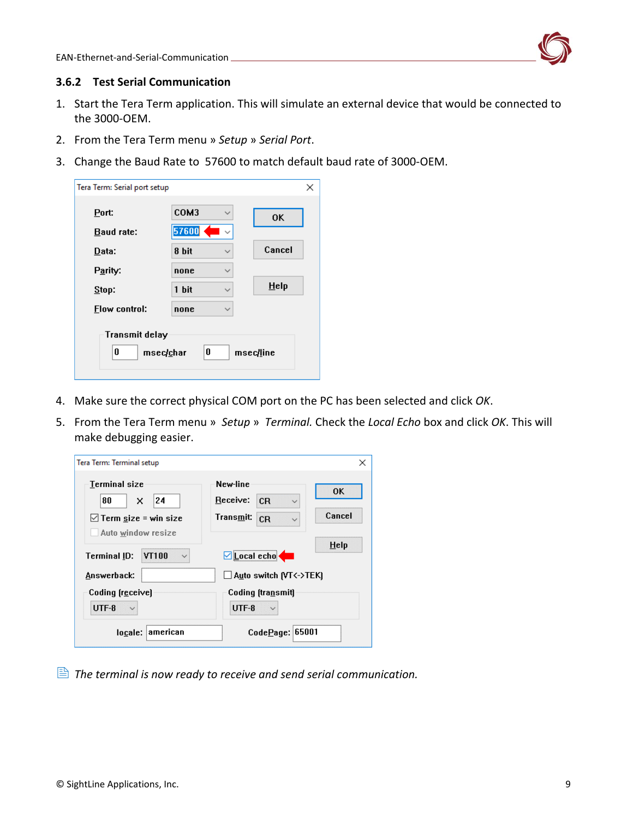

#### <span id="page-9-0"></span>**3.6.2 Test Serial Communication**

- 1. Start the Tera Term application. This will simulate an external device that would be connected to the 3000-OEM.
- 2. From the Tera Term menu » *Setup* » *Serial Port*.
- 3. Change the Baud Rate to 57600 to match default baud rate of 3000-OEM.

| Tera Term: Serial port setup            |       |              | ×         |
|-----------------------------------------|-------|--------------|-----------|
| Port:                                   | COM3  | $\checkmark$ | <b>OK</b> |
| Baud rate:                              | 57600 |              |           |
| Data:                                   | 8 bit |              | Cancel    |
| Parity:                                 | none  | $\checkmark$ |           |
| Stop:                                   | 1 bit |              | Help      |
| Flow control:                           | none  | $\checkmark$ |           |
| <b>Transmit delay</b><br>0<br>msec/char |       | 0            | msec/line |

- 4. Make sure the correct physical COM port on the PC has been selected and click *OK*.
- 5. From the Tera Term menu » *Setup* » *Terminal.* Check the *Local Echo* box and click *OK*. This will make debugging easier.

| Tera Term: Terminal setup                                   |                                                                   | ×         |
|-------------------------------------------------------------|-------------------------------------------------------------------|-----------|
| Terminal size                                               | New-line                                                          | <b>OK</b> |
| 24<br>80<br>x<br>$\boxdot$ Term size = win size             | Receive:<br>CR<br>$\checkmark$<br>Transmit:<br>CR<br>$\checkmark$ | Cancel    |
| Auto window resize<br>VT100<br>Terminal ID:<br>$\checkmark$ | $\Box$ Local echo                                                 | Help      |
| Answerback:                                                 | $\Box$ Auto switch (VT<->TEK)                                     |           |
| Coding (receive)<br>UTF-8                                   | Coding (transmit)<br>UTF-8                                        |           |
| american<br>locale:                                         | CodePage:   65001                                                 |           |

*The terminal is now ready to receive and send serial communication.*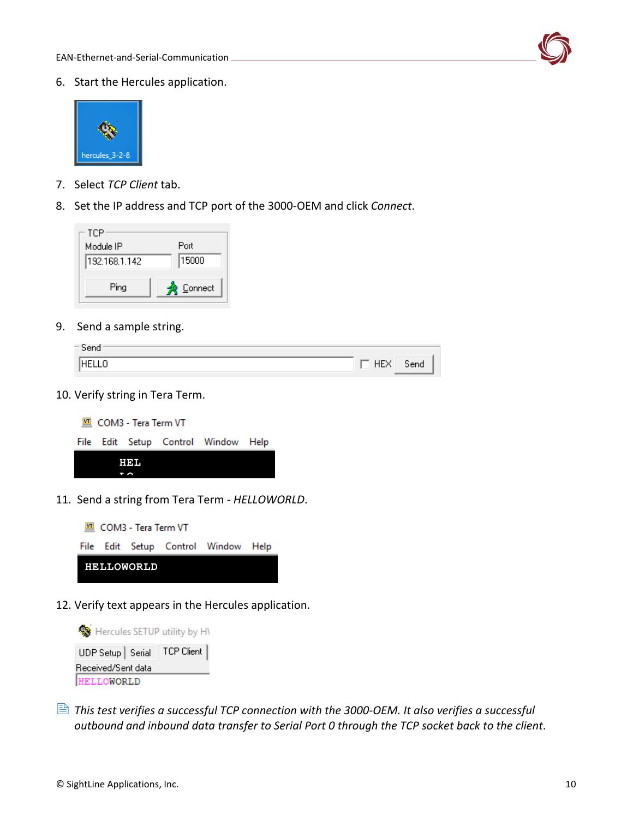

6. Start the Hercules application.



- 7. Select *TCP Client* tab.
- 8. Set the IP address and TCP port of the 3000-OEM and click *Connect*.



9. Send a sample string.

| Send      |     |      |
|-----------|-----|------|
| Ιn<br>1HF | 11L | Send |

10. Verify string in Tera Term.



11. Send a string from Tera Term - *HELLOWORLD*.



12. Verify text appears in the Hercules application.



 *This test verifies a successful TCP connection with the 3000-OEM. It also verifies a successful outbound and inbound data transfer to Serial Port 0 through the TCP socket back to the client*.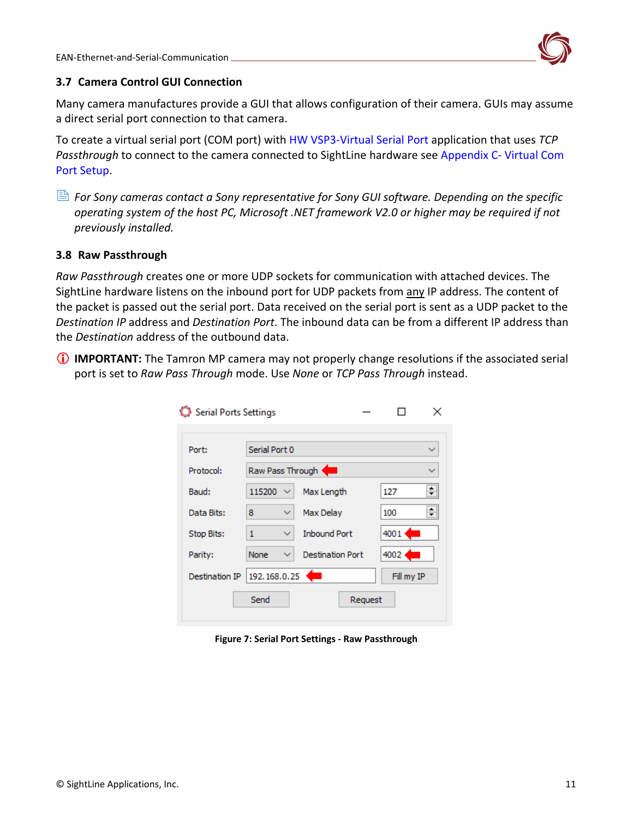

### <span id="page-11-0"></span>**3.7 Camera Control GUI Connection**

Many camera manufactures provide a GUI that allows configuration of their camera. GUIs may assume a direct serial port connection to that camera.

To create a virtual serial port (COM port) with [HW VSP3-Virtual Serial Port](https://www.hw-group.com/software/hw-vsp3-virtual-serial-port) application that uses *TCP Passthrough* to connect to the camera connected to SightLine hardware see [Appendix C-](#page-26-1) Virtual Com [Port Setup.](#page-26-1)

 *For Sony cameras contact a Sony representative for Sony GUI software. Depending on the specific operating system of the host PC, Microsoft .NET framework V2.0 or higher may be required if not previously installed.*

### <span id="page-11-1"></span>**3.8 Raw Passthrough**

*Raw Passthrough* creates one or more UDP sockets for communication with attached devices. The SightLine hardware listens on the inbound port for UDP packets from any IP address. The content of the packet is passed out the serial port. Data received on the serial port is sent as a UDP packet to the *Destination IP* address and *Destination Port*. The inbound data can be from a different IP address than the *Destination* address of the outbound data.

 **IMPORTANT:** The Tamron MP camera may not properly change resolutions if the associated serial port is set to *Raw Pass Through* mode. Use *None* or *TCP Pass Through* instead.

| <b>Serial Ports Settings</b> |                        |                         |         |                  | ×            |
|------------------------------|------------------------|-------------------------|---------|------------------|--------------|
|                              |                        |                         |         |                  |              |
| Port:                        | Serial Port 0          |                         |         |                  | ✓            |
| Protocol:                    | Raw Pass Through       |                         |         |                  | $\checkmark$ |
| Baud:                        | 115200<br>$\checkmark$ | Max Length              |         | 127              | ÷            |
| Data Bits:                   | 8<br>$\checkmark$      | Max Delay               |         | 100              | ÷            |
| Stop Bits:                   | 1<br>$\checkmark$      | <b>Inbound Port</b>     |         | $4001$ $\bullet$ |              |
| Parity:                      | None<br>$\checkmark$   | <b>Destination Port</b> |         | 4002             |              |
| Destination IP               | 192.168.0.25           | Œ                       |         | Fill my IP       |              |
|                              | Send                   |                         | Request |                  |              |

<span id="page-11-2"></span>**Figure 7: Serial Port Settings - Raw Passthrough**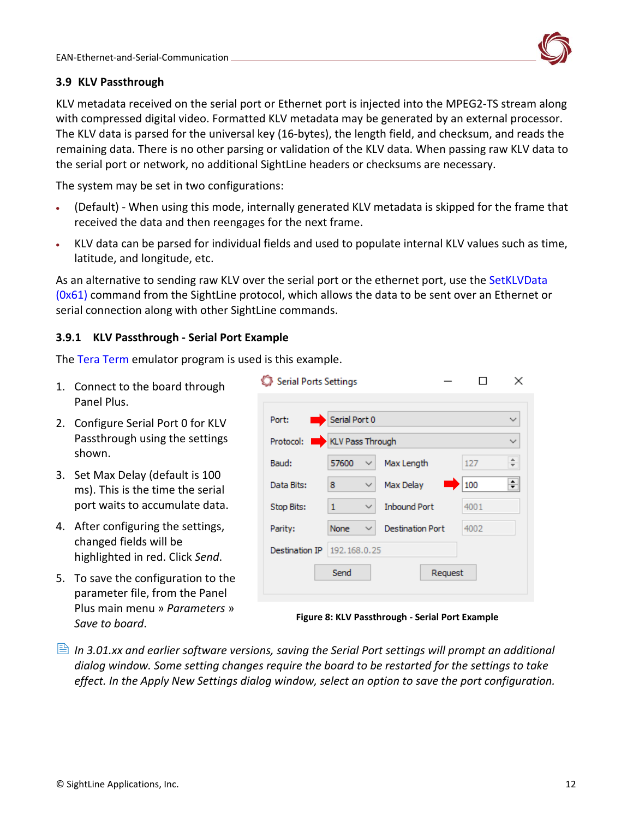

### <span id="page-12-0"></span>**3.9 KLV Passthrough**

KLV metadata received on the serial port or Ethernet port is injected into the MPEG2-TS stream along with compressed digital video. Formatted KLV metadata may be generated by an external processor. The KLV data is parsed for the universal key (16-bytes), the length field, and checksum, and reads the remaining data. There is no other parsing or validation of the KLV data. When passing raw KLV data to the serial port or network, no additional SightLine headers or checksums are necessary.

The system may be set in two configurations:

- (Default) When using this mode, internally generated KLV metadata is skipped for the frame that received the data and then reengages for the next frame.
- KLV data can be parsed for individual fields and used to populate internal KLV values such as time, latitude, and longitude, etc.

As an alternative to sending raw KLV over the serial port or the ethernet port, use the [SetKLVData](https://sightlineapplications.com/releases/IDD/current/struct_s_l_a_set_klv_data__t.html)  [\(0x61\)](https://sightlineapplications.com/releases/IDD/current/struct_s_l_a_set_klv_data__t.html) command from the SightLine protocol, which allows the data to be sent over an Ethernet or serial connection along with other SightLine commands.

### <span id="page-12-1"></span>**3.9.1 KLV Passthrough - Serial Port Example**

The [Tera Term](https://ttssh2.osdn.jp/index.html.en) emulator program is used is this example.

- 1. Connect to the board through Panel Plus.
- 2. Configure Serial Port 0 for KLV Passthrough using the settings shown.
- 3. Set Max Delay (default is 100 ms). This is the time the serial port waits to accumulate data.
- 4. After configuring the settings, changed fields will be highlighted in red. Click *Send*.
- 5. To save the configuration to the parameter file, from the Panel Plus main menu » *Parameters* » *Save to board*.

| Serial Ports Settings      |                   |                         |         |      |    |
|----------------------------|-------------------|-------------------------|---------|------|----|
|                            |                   |                         |         |      |    |
| Port:                      | Serial Port 0     |                         |         |      | ∨  |
| Protocol: KLV Pass Through |                   |                         |         |      | ✓  |
| Baud:                      | 57600<br>◡        | Max Length              | 127     |      | ÷  |
| Data Bits:                 | 8<br>$\checkmark$ | Max Delay               | 100     |      | ≑∣ |
| Stop Bits:                 | 1<br>✓            | <b>Inbound Port</b>     |         | 4001 |    |
| Parity:                    | None<br>✓         | <b>Destination Port</b> |         | 4002 |    |
| Destination IP             | 192, 168, 0, 25   |                         |         |      |    |
|                            | Send              |                         | Request |      |    |
|                            |                   |                         |         |      |    |

**Figure 8: KLV Passthrough - Serial Port Example**

**In 3.01.xx and earlier software versions, saving the Serial Port settings will prompt an additional** *dialog window. Some setting changes require the board to be restarted for the settings to take effect. In the Apply New Settings dialog window, select an option to save the port configuration.*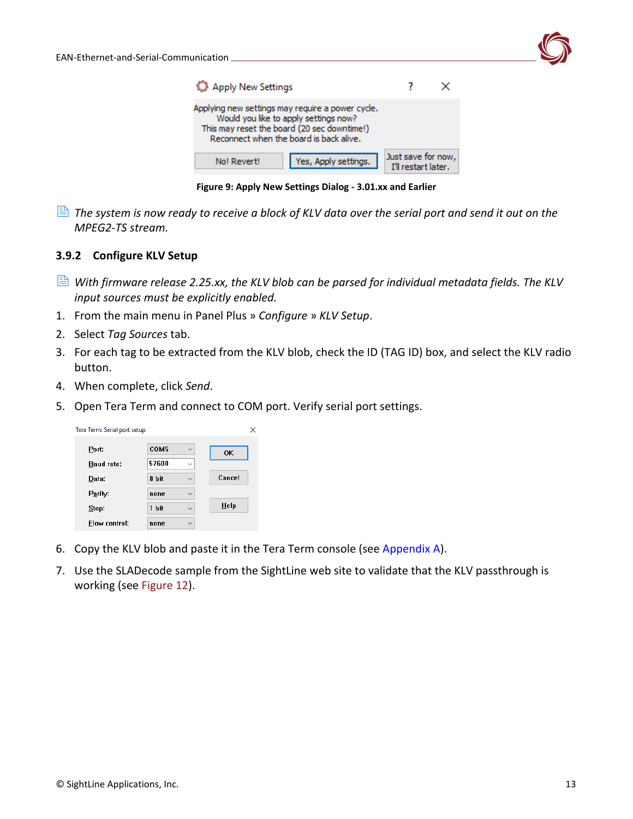| Apply New Settings                                                                                                                                                                  |                                           |  |
|-------------------------------------------------------------------------------------------------------------------------------------------------------------------------------------|-------------------------------------------|--|
| Applying new settings may require a power cycle.<br>Would you like to apply settings now?<br>This may reset the board (20 sec downtime!)<br>Reconnect when the board is back alive. |                                           |  |
| Yes, Apply settings.<br>No! Revert!                                                                                                                                                 | Just save for now,<br>I'll restart later. |  |

**Figure 9: Apply New Settings Dialog - 3.01.xx and Earlier**

 *The system is now ready to receive a block of KLV data over the serial port and send it out on the MPEG2-TS stream.*

### <span id="page-13-0"></span>**3.9.2 Configure KLV Setup**

- *With firmware release 2.25.xx, the KLV blob can be parsed for individual metadata fields. The KLV input sources must be explicitly enabled.*
- 1. From the main menu in Panel Plus » *Configure* » *KLV Setup*.
- 2. Select *Tag Sources* tab.
- 3. For each tag to be extracted from the KLV blob, check the ID (TAG ID) box, and select the KLV radio button.
- 4. When complete, click *Send*.
- 5. Open Tera Term and connect to COM port. Verify serial port settings.

| Tera Term: Serial port setup |       |              | ×      |
|------------------------------|-------|--------------|--------|
| Port:                        | COM5  | $\checkmark$ | 0K     |
| <b>Baud rate:</b>            | 57600 | $\checkmark$ |        |
| Data:                        | 8 bit | $\checkmark$ | Cancel |
| Parity:                      | none  | $\checkmark$ |        |
| Stop:                        | 1 bit | $\checkmark$ | Help   |
| Flow control:                | none  | $\checkmark$ |        |

- 6. Copy the KLV blob and paste it in the Tera Term console (see [Appendix A\)](#page-24-3).
- 7. Use the SLADecode sample from the SightLine web site to validate that the KLV passthrough is working (see Figure 12).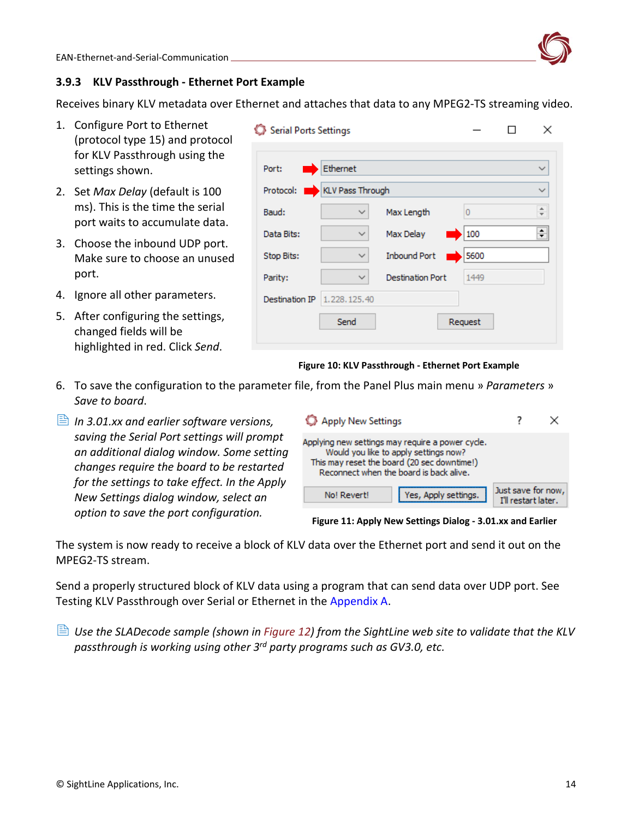

### <span id="page-14-0"></span>**3.9.3 KLV Passthrough - Ethernet Port Example**

Receives binary KLV metadata over Ethernet and attaches that data to any MPEG2-TS streaming video.

- 1. Configure Port to Ethernet (protocol type 15) and protocol for KLV Passthrough using the settings shown.
- 2. Set *Max Delay* (default is 100 ms). This is the time the serial port waits to accumulate data.
- 3. Choose the inbound UDP port. Make sure to choose an unused port.
- 4. Ignore all other parameters.
- 5. After configuring the settings, changed fields will be highlighted in red. Click *Send*.

| Serial Ports Settings       |              |                         |         | ×            |
|-----------------------------|--------------|-------------------------|---------|--------------|
|                             |              |                         |         |              |
| Port:                       | Ethernet     |                         |         | ∨            |
| Protocol: KLV Pass Through  |              |                         |         | $\checkmark$ |
| Baud:                       | $\checkmark$ | Max Length              | 0       | ÷            |
| Data Bits:                  | $\checkmark$ | Max Delay               | 100     | ÷            |
| Stop Bits:                  | $\checkmark$ | <b>Inbound Port</b>     | 5600    |              |
| Parity:                     | $\checkmark$ | <b>Destination Port</b> | 1449    |              |
| Destination IP 1.228.125.40 |              |                         |         |              |
|                             | Send         |                         | Request |              |
|                             |              |                         |         |              |

**Figure 10: KLV Passthrough - Ethernet Port Example**

- 6. To save the configuration to the parameter file, from the Panel Plus main menu » *Parameters* » *Save to board*.
- *In 3.01.xx and earlier software versions, saving the Serial Port settings will prompt an additional dialog window. Some setting changes require the board to be restarted for the settings to take effect. In the Apply New Settings dialog window, select an option to save the port configuration.*

| Apply New Settings                                                                                                                                                                  |                                           |  |
|-------------------------------------------------------------------------------------------------------------------------------------------------------------------------------------|-------------------------------------------|--|
| Applying new settings may require a power cycle.<br>Would you like to apply settings now?<br>This may reset the board (20 sec downtime!)<br>Reconnect when the board is back alive. |                                           |  |
| Yes, Apply settings.<br>No! Revert!                                                                                                                                                 | Just save for now,<br>I'll restart later. |  |

**Figure 11: Apply New Settings Dialog - 3.01.xx and Earlier**

The system is now ready to receive a block of KLV data over the Ethernet port and send it out on the MPEG2-TS stream.

Send a properly structured block of KLV data using a program that can send data over UDP port. See Testing KLV Passthrough over Serial or Ethernet in the [Appendix A.](#page-24-3)

 *Use the SLADecode sample (shown in Figure 12) from the SightLine web site to validate that the KLV passthrough is working using other 3rd party programs such as GV3.0, etc.*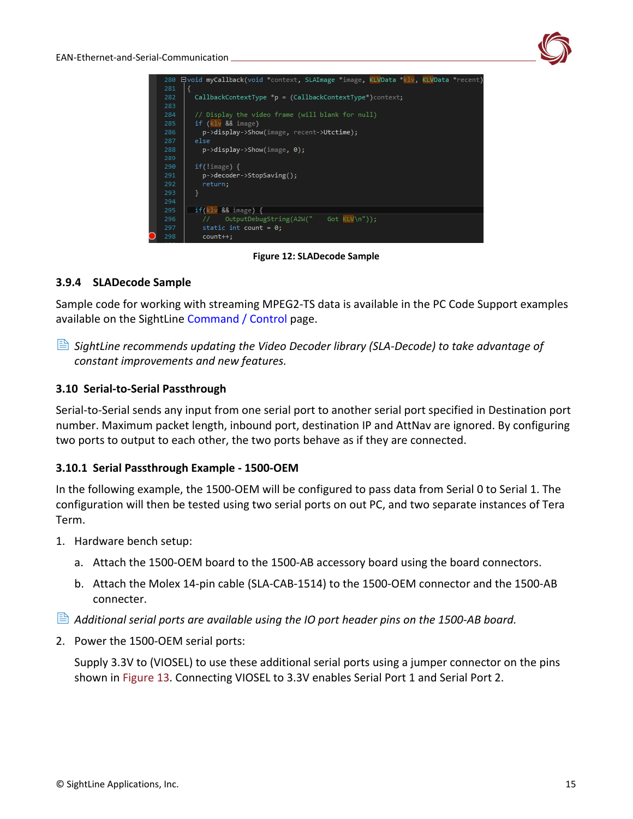| 280 | □void myCallback(void *context, SLAImage *image, KLVData *klv, KLVData *recent) |
|-----|---------------------------------------------------------------------------------|
| 281 | ⊣                                                                               |
| 282 | $CallbackContextType *p = (CallbackContextType*)context;$                       |
| 283 |                                                                                 |
| 284 | // Display the video frame (will blank for null)                                |
| 285 | if $(klv$ && image)                                                             |
| 286 | p->display->Show(image, recent->Utctime);                                       |
| 287 | else                                                                            |
| 288 | $p$ ->display->Show(image, 0);                                                  |
| 289 |                                                                                 |
| 290 | $if(!image)$ {                                                                  |
| 291 | p->decoder->StopSaving();                                                       |
| 292 | return;                                                                         |
| 293 | ł                                                                               |
| 294 |                                                                                 |
| 295 | $if(klv & 8& image)$ {                                                          |
| 296 | OutputDebugString(A2W(" Got KLV\n"));                                           |
| 297 | static int count = $0;$                                                         |
| 298 | count++:                                                                        |

**Figure 12: SLADecode Sample**

### <span id="page-15-0"></span>**3.9.4 SLADecode Sample**

Sample code for working with streaming MPEG2-TS data is available in the PC Code Support examples available on the SightLine [Command / Control](https://sightlineapplications.com/command-control/) page.

 *SightLine recommends updating the Video Decoder library (SLA-Decode) to take advantage of constant improvements and new features.*

### <span id="page-15-1"></span>**3.10 Serial-to-Serial Passthrough**

Serial-to-Serial sends any input from one serial port to another serial port specified in Destination port number. Maximum packet length, inbound port, destination IP and AttNav are ignored. By configuring two ports to output to each other, the two ports behave as if they are connected.

### <span id="page-15-2"></span>**3.10.1 Serial Passthrough Example - 1500-OEM**

In the following example, the 1500-OEM will be configured to pass data from Serial 0 to Serial 1. The configuration will then be tested using two serial ports on out PC, and two separate instances of Tera Term.

- 1. Hardware bench setup:
	- a. Attach the 1500-OEM board to the 1500-AB accessory board using the board connectors.
	- b. Attach the Molex 14-pin cable (SLA-CAB-1514) to the 1500-OEM connector and the 1500-AB connecter.
- *Additional serial ports are available using the IO port header pins on the 1500-AB board.*
- 2. Power the 1500-OEM serial ports:

Supply 3.3V to (VIOSEL) to use these additional serial ports using a jumper connector on the pins shown in Figure 13. Connecting VIOSEL to 3.3V enables Serial Port 1 and Serial Port 2.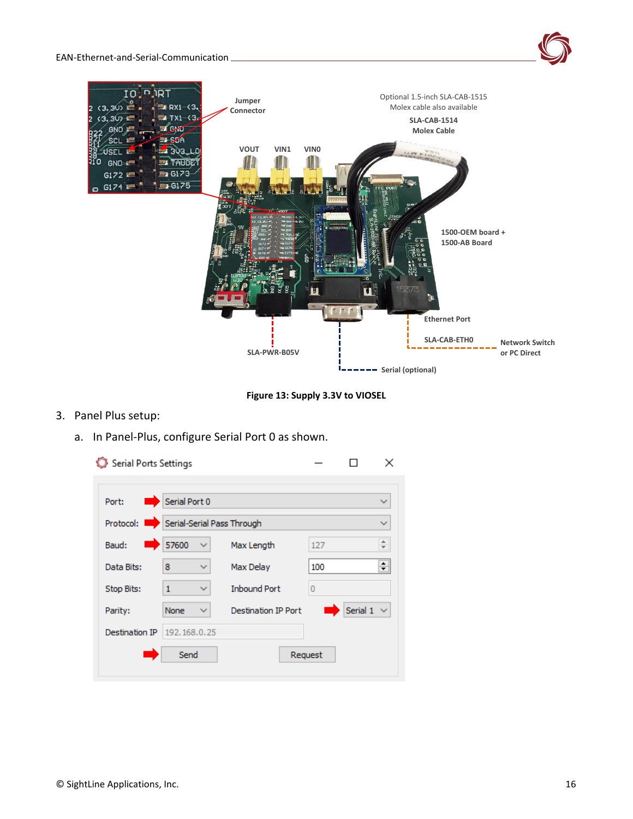

**Figure 13: Supply 3.3V to VIOSEL**

- 3. Panel Plus setup:
	- a. In Panel-Plus, configure Serial Port 0 as shown.

| Serial Ports Settings                |                 |              |                            |         | ×                             |  |
|--------------------------------------|-----------------|--------------|----------------------------|---------|-------------------------------|--|
|                                      |                 |              |                            |         |                               |  |
| Port:                                | Serial Port 0   |              |                            |         | $\checkmark$                  |  |
| Protocol: Serial-Serial Pass Through |                 |              |                            |         | $\checkmark$                  |  |
| Baud:                                | 57600           | $\checkmark$ | Max Length                 | 127     | ۰<br>$\overline{\phantom{0}}$ |  |
| Data Bits:                           | 8               | ✓            | Max Delay                  | 100     | $\div$                        |  |
| Stop Bits:                           | $\mathbf{1}$    | ∨            | <b>Inbound Port</b>        | 0       |                               |  |
| Parity:                              | None            | ∨            | <b>Destination IP Port</b> |         | Serial $1 \vee$               |  |
| Destination IP                       | 192, 168, 0, 25 |              |                            |         |                               |  |
|                                      | Send            |              |                            | Request |                               |  |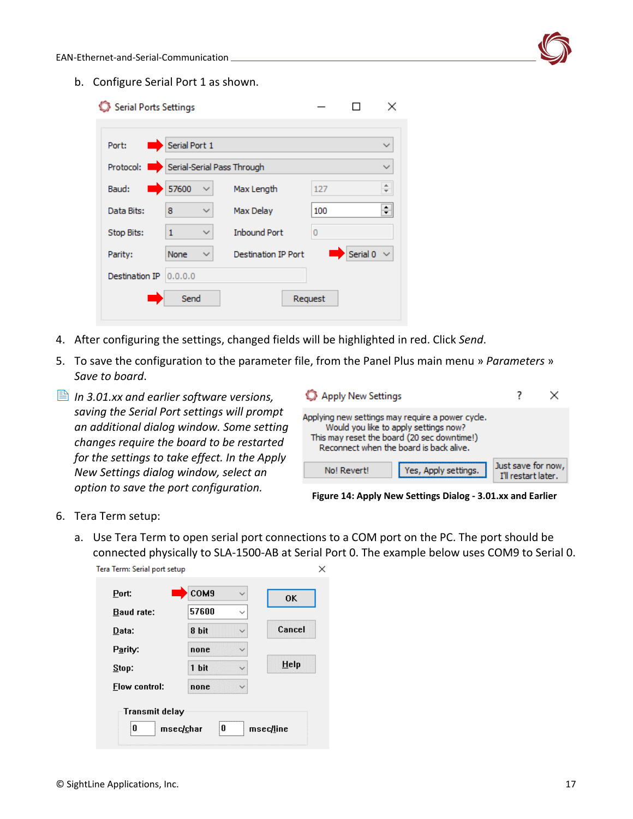b. Configure Serial Port 1 as shown.

| Serial Ports Settings                |               |              |                            |         |                 | ×                        |
|--------------------------------------|---------------|--------------|----------------------------|---------|-----------------|--------------------------|
|                                      |               |              |                            |         |                 |                          |
| Port:                                | Serial Port 1 |              |                            |         |                 |                          |
| Protocol: Serial-Serial Pass Through |               |              |                            |         |                 |                          |
| Baud:<br><b>The Second Second</b>    | 57600         | $\checkmark$ | Max Length                 | 127     |                 | $\overline{\phantom{a}}$ |
| Data Bits:                           | 8             | $\checkmark$ | Max Delay                  | 100     |                 | ÷                        |
| Stop Bits:                           | 1             | $\checkmark$ | <b>Inbound Port</b>        | 0       |                 |                          |
| Parity:                              | None          | $\checkmark$ | <b>Destination IP Port</b> |         | Serial 0 $\sim$ |                          |
| Destination IP                       | 0.0.0.0       |              |                            |         |                 |                          |
|                                      | Send          |              |                            | Request |                 |                          |
|                                      |               |              |                            |         |                 |                          |

- 4. After configuring the settings, changed fields will be highlighted in red. Click *Send*.
- 5. To save the configuration to the parameter file, from the Panel Plus main menu » *Parameters* » *Save to board*.
- *In 3.01.xx and earlier software versions, saving the Serial Port settings will prompt an additional dialog window. Some setting changes require the board to be restarted for the settings to take effect. In the Apply New Settings dialog window, select an option to save the port configuration.*

| Apply New Settings                                                                                                                                                                  |                                           |
|-------------------------------------------------------------------------------------------------------------------------------------------------------------------------------------|-------------------------------------------|
| Applying new settings may require a power cycle.<br>Would you like to apply settings now?<br>This may reset the board (20 sec downtime!)<br>Reconnect when the board is back alive. |                                           |
| Yes, Apply settings.<br>No! Revert!                                                                                                                                                 | Just save for now,<br>I'll restart later. |

**Figure 14: Apply New Settings Dialog - 3.01.xx and Earlier**

#### 6. Tera Term setup:

a. Use Tera Term to open serial port connections to a COM port on the PC. The port should be connected physically to SLA-1500-AB at Serial Port 0. The example below uses COM9 to Serial 0.Tera Term: Serial port setup  $\times$ 

| Port:                | COM9  | $\checkmark$ | 0K     |
|----------------------|-------|--------------|--------|
| <b>Baud rate:</b>    | 57600 | $\checkmark$ |        |
| Data:                | 8 bit |              | Cancel |
| Parity:              | none  |              |        |
| Stop:                | 1 bit |              | Help   |
| <b>Elow control:</b> | none  |              |        |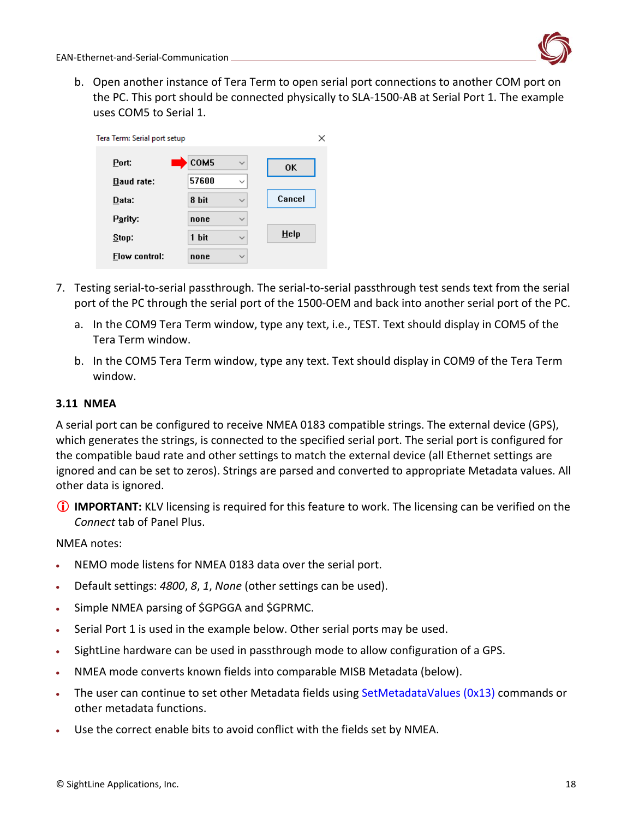b. Open another instance of Tera Term to open serial port connections to another COM port on the PC. This port should be connected physically to SLA-1500-AB at Serial Port 1. The example uses COM5 to Serial 1.

| Tera Term: Serial port setup |       |              | ×      |
|------------------------------|-------|--------------|--------|
| Port:                        | COM5  | $\checkmark$ | 0K     |
| <b>Baud rate:</b>            | 57600 | $\checkmark$ |        |
| Data:                        | 8 bit | $\checkmark$ | Cancel |
| Parity:                      | none  | $\checkmark$ |        |
| Stop:                        | 1 bit | $\checkmark$ | He     |
| <b>Flow control:</b>         | none  | $\checkmark$ |        |

- 7. Testing serial-to-serial passthrough. The serial-to-serial passthrough test sends text from the serial port of the PC through the serial port of the 1500-OEM and back into another serial port of the PC.
	- a. In the COM9 Tera Term window, type any text, i.e., TEST. Text should display in COM5 of the Tera Term window.
	- b. In the COM5 Tera Term window, type any text. Text should display in COM9 of the Tera Term window.

### <span id="page-18-0"></span>**3.11 NMEA**

A serial port can be configured to receive NMEA 0183 compatible strings. The external device (GPS), which generates the strings, is connected to the specified serial port. The serial port is configured for the compatible baud rate and other settings to match the external device (all Ethernet settings are ignored and can be set to zeros). Strings are parsed and converted to appropriate Metadata values. All other data is ignored.

**IMPORTANT:** KLV licensing is required for this feature to work. The licensing can be verified on the *Connect* tab of Panel Plus.

NMEA notes:

- NEMO mode listens for NMEA 0183 data over the serial port.
- Default settings: *4800*, *8*, *1*, *None* (other settings can be used).
- Simple NMEA parsing of \$GPGGA and \$GPRMC.
- Serial Port 1 is used in the example below. Other serial ports may be used.
- SightLine hardware can be used in passthrough mode to allow configuration of a GPS.
- NMEA mode converts known fields into comparable MISB Metadata (below).
- The user can continue to set other Metadata fields using [SetMetadataValues \(0x13\)](https://sightlineapplications.com/releases/IDD/current/struct_s_l_a_set_metadata_values__t.html) commands or other metadata functions.
- Use the correct enable bits to avoid conflict with the fields set by NMEA.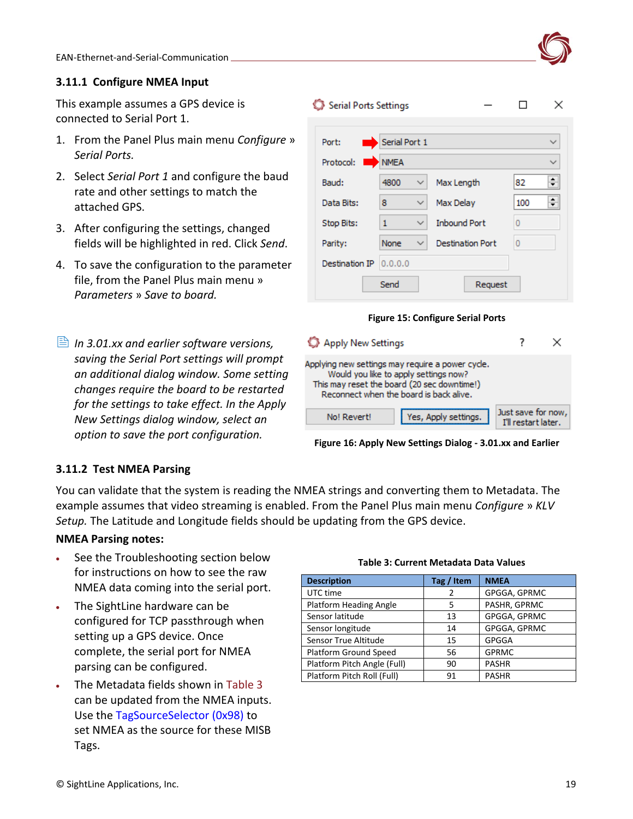### <span id="page-19-0"></span>**3.11.1 Configure NMEA Input**

This example assumes a GPS device is connected to Serial Port 1.

- 1. From the Panel Plus main menu *Configure* » *Serial Ports.*
- 2. Select *Serial Port 1* and configure the baud rate and other settings to match the attached GPS.
- 3. After configuring the settings, changed fields will be highlighted in red. Click *Send*.
- 4. To save the configuration to the parameter file, from the Panel Plus main menu » *Parameters* » *Save to board.*
- *In 3.01.xx and earlier software versions, saving the Serial Port settings will prompt an additional dialog window. Some setting changes require the board to be restarted for the settings to take effect. In the Apply New Settings dialog window, select an option to save the port configuration.*

| Serial Ports Settings |                   |                         | ×            |
|-----------------------|-------------------|-------------------------|--------------|
| Port:                 | Serial Port 1     |                         | $\checkmark$ |
| Protocol:             | <b>NMEA</b>       |                         | $\checkmark$ |
| Baud:                 | 4800<br>✓         | Max Length              | ÷<br>82      |
| Data Bits:            | 8<br>✓            | Max Delay               | ÷<br>100     |
| Stop Bits:            | $\mathbf{1}$<br>✓ | <b>Inbound Port</b>     | O            |
| Parity:               | None<br>✓         | <b>Destination Port</b> | 0            |
| Destination IP        | 0.0.0.0           |                         |              |
|                       | Send              | Request                 |              |



| Apply New Settings                                                                                                                                                                  |                                           |  |
|-------------------------------------------------------------------------------------------------------------------------------------------------------------------------------------|-------------------------------------------|--|
| Applying new settings may require a power cycle.<br>Would you like to apply settings now?<br>This may reset the board (20 sec downtime!)<br>Reconnect when the board is back alive. |                                           |  |
| Yes, Apply settings.<br>No! Revert!                                                                                                                                                 | Just save for now,<br>I'll restart later. |  |

**Figure 16: Apply New Settings Dialog - 3.01.xx and Earlier**

### <span id="page-19-1"></span>**3.11.2 Test NMEA Parsing**

You can validate that the system is reading the NMEA strings and converting them to Metadata. The example assumes that video streaming is enabled. From the Panel Plus main menu *Configure* » *KLV Setup.* The Latitude and Longitude fields should be updating from the GPS device.

### **NMEA Parsing notes:**

- See the Troubleshooting section below for instructions on how to see the raw NMEA data coming into the serial port.
- The SightLine hardware can be configured for TCP passthrough when setting up a GPS device. Once complete, the serial port for NMEA parsing can be configured.
- The Metadata fields shown in Table 3 can be updated from the NMEA inputs. Use the [TagSourceSelector \(0x98\)](https://sightlineapplications.com/releases/IDD/current/struct_s_l_a_tag_source_selector__t.html) to set NMEA as the source for these MISB Tags.

#### **Table 3: Current Metadata Data Values**

| <b>Description</b>           | Tag / Item     | <b>NMEA</b>  |
|------------------------------|----------------|--------------|
| UTC time                     | $\overline{2}$ | GPGGA, GPRMC |
| Platform Heading Angle       | 5              | PASHR, GPRMC |
| Sensor latitude              | 13             | GPGGA, GPRMC |
| Sensor longitude             | 14             | GPGGA, GPRMC |
| Sensor True Altitude         | 15             | <b>GPGGA</b> |
| <b>Platform Ground Speed</b> | 56             | <b>GPRMC</b> |
| Platform Pitch Angle (Full)  | 90             | <b>PASHR</b> |
| Platform Pitch Roll (Full)   | 91             | <b>PASHR</b> |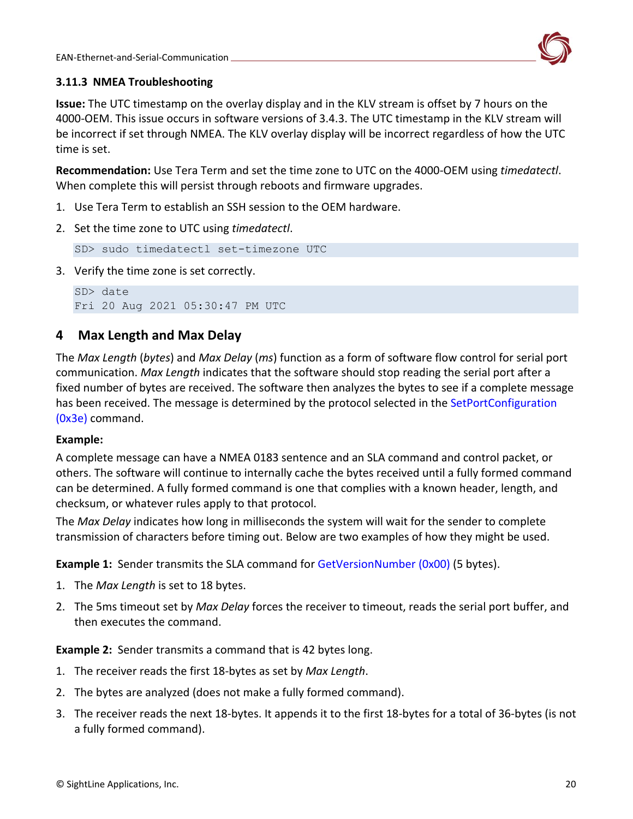

### <span id="page-20-0"></span>**3.11.3 NMEA Troubleshooting**

**Issue:** The UTC timestamp on the overlay display and in the KLV stream is offset by 7 hours on the 4000-OEM. This issue occurs in software versions of 3.4.3. The UTC timestamp in the KLV stream will be incorrect if set through NMEA. The KLV overlay display will be incorrect regardless of how the UTC time is set.

**Recommendation:** Use Tera Term and set the time zone to UTC on the 4000-OEM using *timedatectl*. When complete this will persist through reboots and firmware upgrades.

- 1. Use Tera Term to establish an SSH session to the OEM hardware.
- 2. Set the time zone to UTC using *timedatectl*.

SD> sudo timedatectl set-timezone UTC

3. Verify the time zone is set correctly.

```
SD> date
Fri 20 Aug 2021 05:30:47 PM UTC
```
# <span id="page-20-1"></span>**4 Max Length and Max Delay**

The *Max Length* (*bytes*) and *Max Delay* (*ms*) function as a form of software flow control for serial port communication. *Max Length* indicates that the software should stop reading the serial port after a fixed number of bytes are received. The software then analyzes the bytes to see if a complete message has been received. The message is determined by the protocol selected in the SetPortConfiguration [\(0x3e\)](https://sightlineapplications.com/releases/IDD/current/struct_s_l_a_set_port_configuration__t.html) command.

### **Example:**

A complete message can have a NMEA 0183 sentence and an SLA command and control packet, or others. The software will continue to internally cache the bytes received until a fully formed command can be determined. A fully formed command is one that complies with a known header, length, and checksum, or whatever rules apply to that protocol.

The *Max Delay* indicates how long in milliseconds the system will wait for the sender to complete transmission of characters before timing out. Below are two examples of how they might be used.

**Example 1:** Sender transmits the SLA command for [GetVersionNumber](https://sightlineapplications.com/releases/IDD/current/struct_s_l_a_get_version_number__t.html) (0x00) (5 bytes).

- 1. The *Max Length* is set to 18 bytes.
- 2. The 5ms timeout set by *Max Delay* forces the receiver to timeout, reads the serial port buffer, and then executes the command.

**Example 2:** Sender transmits a command that is 42 bytes long.

- 1. The receiver reads the first 18-bytes as set by *Max Length*.
- 2. The bytes are analyzed (does not make a fully formed command).
- 3. The receiver reads the next 18-bytes. It appends it to the first 18-bytes for a total of 36-bytes (is not a fully formed command).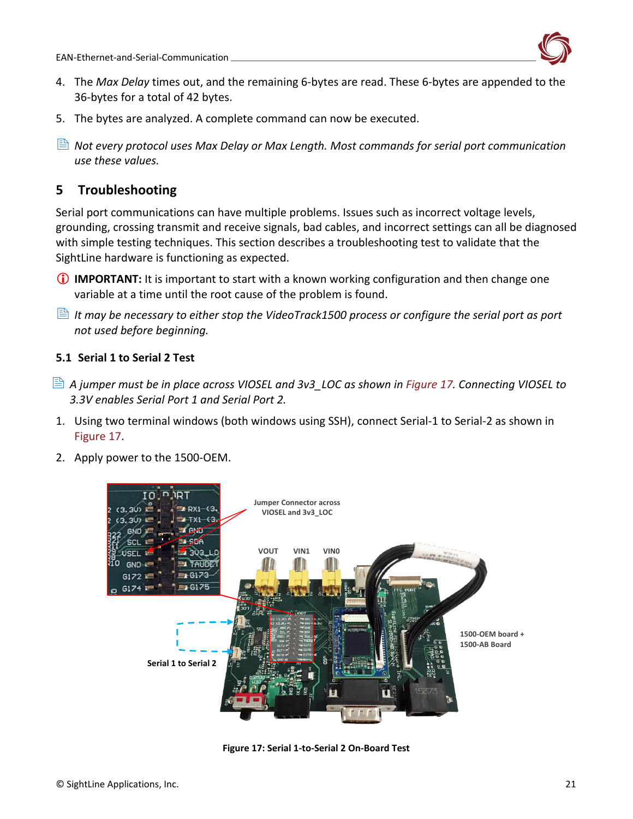

- 4. The *Max Delay* times out, and the remaining 6-bytes are read. These 6-bytes are appended to the 36-bytes for a total of 42 bytes.
- 5. The bytes are analyzed. A complete command can now be executed.
- *Not every protocol uses Max Delay or Max Length. Most commands for serial port communication use these values.*

# <span id="page-21-0"></span>**5 Troubleshooting**

Serial port communications can have multiple problems. Issues such as incorrect voltage levels, grounding, crossing transmit and receive signals, bad cables, and incorrect settings can all be diagnosed with simple testing techniques. This section describes a troubleshooting test to validate that the SightLine hardware is functioning as expected.

- **IMPORTANT:** It is important to start with a known working configuration and then change one variable at a time until the root cause of the problem is found.
- *It may be necessary to either stop the VideoTrack1500 process or configure the serial port as port not used before beginning.*

### <span id="page-21-1"></span>**5.1 Serial 1 to Serial 2 Test**

- *A jumper must be in place across VIOSEL and 3v3\_LOC as shown in Figure 17. Connecting VIOSEL to 3.3V enables Serial Port 1 and Serial Port 2.*
- 1. Using two terminal windows (both windows using SSH), connect Serial-1 to Serial-2 as shown in Figure 17.
- 2. Apply power to the 1500-OEM.



**Figure 17: Serial 1-to-Serial 2 On-Board Test**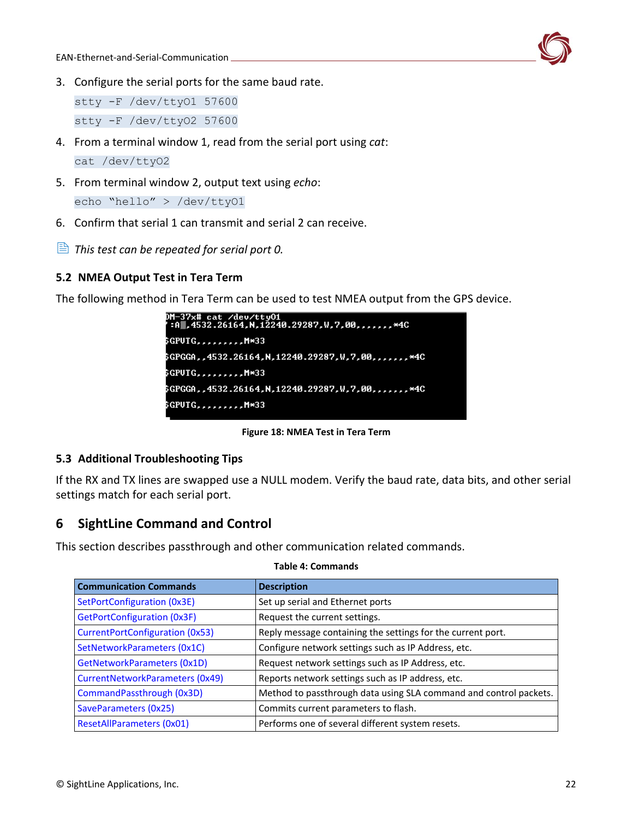

3. Configure the serial ports for the same baud rate.

stty -F /dev/ttyO1 57600 stty -F /dev/ttyO2 57600

- 4. From a terminal window 1, read from the serial port using *cat*: cat /dev/ttyO2
- 5. From terminal window 2, output text using *echo*: echo "hello" > /dev/ttyO1
- 6. Confirm that serial 1 can transmit and serial 2 can receive.
- *This test can be repeated for serial port 0.*

### <span id="page-22-0"></span>**5.2 NMEA Output Test in Tera Term**

The following method in Tera Term can be used to test NMEA output from the GPS device.



**Figure 18: NMEA Test in Tera Term**

### <span id="page-22-1"></span>**5.3 Additional Troubleshooting Tips**

If the RX and TX lines are swapped use a NULL modem. Verify the baud rate, data bits, and other serial settings match for each serial port.

# <span id="page-22-2"></span>**6 SightLine Command and Control**

This section describes passthrough and other communication related commands.

| <b>Communication Commands</b>          | <b>Description</b>                                                |
|----------------------------------------|-------------------------------------------------------------------|
| SetPortConfiguration (0x3E)            | Set up serial and Ethernet ports                                  |
| GetPortConfiguration (0x3F)            | Request the current settings.                                     |
| <b>CurrentPortConfiguration (0x53)</b> | Reply message containing the settings for the current port.       |
| SetNetworkParameters (0x1C)            | Configure network settings such as IP Address, etc.               |
| GetNetworkParameters (0x1D)            | Request network settings such as IP Address, etc.                 |
| CurrentNetworkParameters (0x49)        | Reports network settings such as IP address, etc.                 |
| CommandPassthrough (0x3D)              | Method to passthrough data using SLA command and control packets. |
| SaveParameters (0x25)                  | Commits current parameters to flash.                              |
| ResetAllParameters (0x01)              | Performs one of several different system resets.                  |

#### **Table 4: Commands**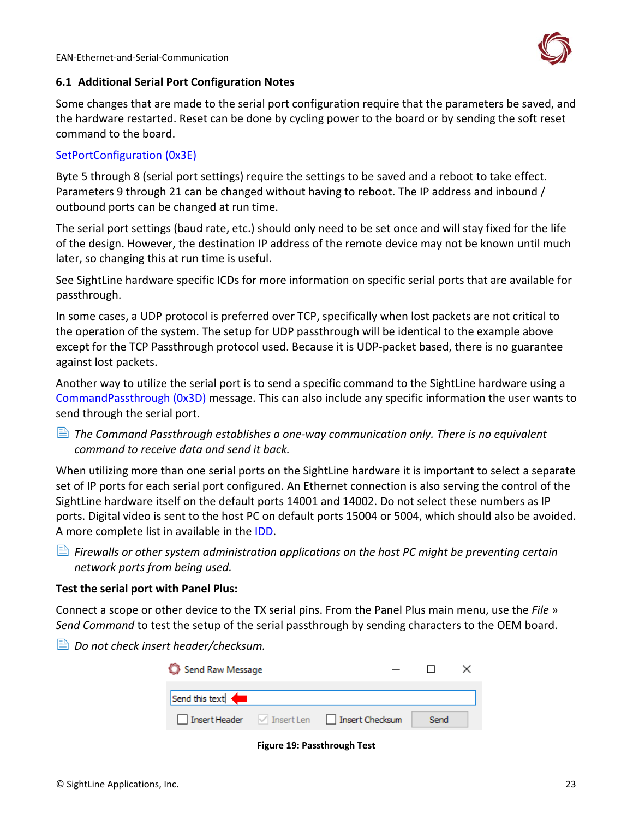

### <span id="page-23-0"></span>**6.1 Additional Serial Port Configuration Notes**

Some changes that are made to the serial port configuration require that the parameters be saved, and the hardware restarted. Reset can be done by cycling power to the board or by sending the soft reset command to the board.

### [SetPortConfiguration](https://sightlineapplications.com/releases/IDD/current/struct_s_l_a_set_port_configuration__t.html) (0x3E)

Byte 5 through 8 (serial port settings) require the settings to be saved and a reboot to take effect. Parameters 9 through 21 can be changed without having to reboot. The IP address and inbound / outbound ports can be changed at run time.

The serial port settings (baud rate, etc.) should only need to be set once and will stay fixed for the life of the design. However, the destination IP address of the remote device may not be known until much later, so changing this at run time is useful.

See SightLine hardware specific ICDs for more information on specific serial ports that are available for passthrough.

In some cases, a UDP protocol is preferred over TCP, specifically when lost packets are not critical to the operation of the system. The setup for UDP passthrough will be identical to the example above except for the TCP Passthrough protocol used. Because it is UDP-packet based, there is no guarantee against lost packets.

Another way to utilize the serial port is to send a specific command to the SightLine hardware using a [CommandPassthrough \(0x3D\)](https://sightlineapplications.com/releases/IDD/current/struct_s_l_a_command_pass_through__t.html) message. This can also include any specific information the user wants to send through the serial port.

 *The Command Passthrough establishes a one-way communication only. There is no equivalent command to receive data and send it back.*

When utilizing more than one serial ports on the SightLine hardware it is important to select a separate set of IP ports for each serial port configured. An Ethernet connection is also serving the control of the SightLine hardware itself on the default ports 14001 and 14002. Do not select these numbers as IP ports. Digital video is sent to the host PC on default ports 15004 or 5004, which should also be avoided. A more complete list in available in the [IDD.](https://sightlineapplications.com/releases/IDD/current/index.html)

 *Firewalls or other system administration applications on the host PC might be preventing certain network ports from being used.* 

### **Test the serial port with Panel Plus:**

Connect a scope or other device to the TX serial pins. From the Panel Plus main menu, use the *File* » *Send Command* to test the setup of the serial passthrough by sending characters to the OEM board.

 $\triangleq$  Do not check insert header/checksum.

| Send Raw Message |                                            |      |  |
|------------------|--------------------------------------------|------|--|
| Send this text < |                                            |      |  |
|                  | Insert Header / Insert Len Insert Checksum | Send |  |

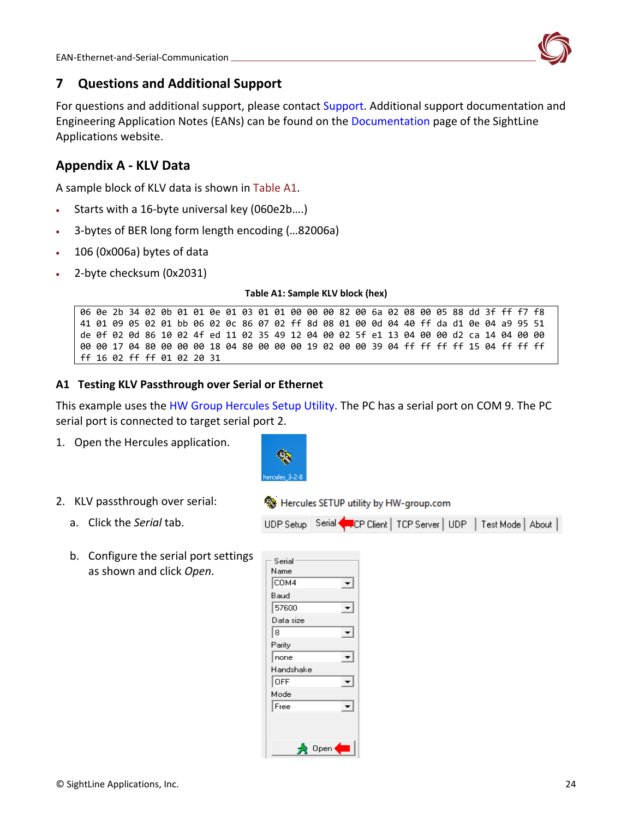

# <span id="page-24-0"></span>**7 Questions and Additional Support**

For questions and additional support, please contact [Support.](mailto:support@sightlineapplications.com) Additional support documentation and Engineering Application Notes (EANs) can be found on the [Documentation](https://sightlineapplications.com/documentation/) page of the SightLine Applications website.

# <span id="page-24-3"></span><span id="page-24-1"></span>**Appendix A - KLV Data**

A sample block of KLV data is shown in Table A1.

- Starts with a 16-byte universal key (060e2b....)
- 3-bytes of BER long form length encoding (…82006a)
- 106 (0x006a) bytes of data
- <span id="page-24-4"></span>• 2-byte checksum (0x2031)

**Table A1: Sample KLV block (hex)**

06 0e 2b 34 02 0b 01 01 0e 01 03 01 01 00 00 00 82 00 6a 02 08 00 05 88 dd 3f ff f7 f8 41 01 09 05 02 01 bb 06 02 0c 86 07 02 ff 8d 08 01 00 0d 04 40 ff da d1 0e 04 a9 95 51 de 0f 02 0d 86 10 02 4f ed 11 02 35 49 12 04 00 02 5f e1 13 04 00 00 d2 ca 14 04 00 00 00 00 17 04 80 00 00 00 18 04 80 00 00 00 19 02 00 00 39 04 ff ff ff ff 15 04 ff ff ff ff 16 02 ff ff 01 02 20 31

### <span id="page-24-2"></span>**A1 Testing KLV Passthrough over Serial or Ethernet**

This example uses the [HW Group Hercules Setup Utility.](https://www.hw-group.com/software/hercules-setup-utility) The PC has a serial port on COM 9. The PC serial port is connected to target serial port 2.

Hercules SETUP utility by HW-group.com

UDP Setup Serial FCP Client | TCP Server | UDP | Test Mode | About |

1. Open the Hercules application.



- 2. KLV passthrough over serial:
	- a. Click the *Serial* tab.
	- b. Configure the serial port settings as shown and click *Open*.

| Serial           |
|------------------|
| Name             |
| COM <sub>4</sub> |
| Baud             |
| 57600            |
| Data size        |
| 8                |
| Parity           |
| none             |
| Handshake        |
| <b>OFF</b>       |
| Mode             |
| Free             |
|                  |
|                  |
| Ū<br>pen         |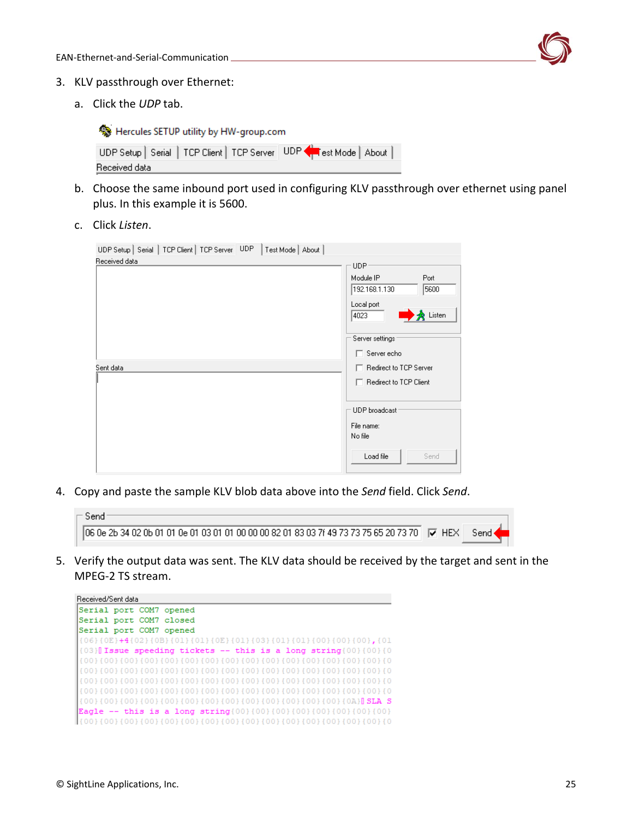

- 3. KLV passthrough over Ethernet:
	- a. Click the *UDP* tab.

Hercules SETUP utility by HW-group.com

|               |  |  | UDP Setup   Serial   TCP Client   TCP Server   UDP < Est Mode   About |  |
|---------------|--|--|-----------------------------------------------------------------------|--|
| Received data |  |  |                                                                       |  |

- b. Choose the same inbound port used in configuring KLV passthrough over ethernet using panel plus. In this example it is 5600.
- c. Click *Listen*.

| UDP Setup   Serial   TCP Client   TCP Server   UDP   Test Mode   About |                                            |
|------------------------------------------------------------------------|--------------------------------------------|
| Received data                                                          | UDP <sup>®</sup>                           |
|                                                                        | Module IP<br>Port<br>192.168.1.130<br>5600 |
|                                                                        | Local port<br>$\rightarrow$ Listen<br>4023 |
|                                                                        | Server settings                            |
|                                                                        | $\Box$ Server echo                         |
| Sent data                                                              | □ Redirect to TCP Server                   |
|                                                                        | □ Redirect to TCP Client                   |
|                                                                        |                                            |
|                                                                        | UDP broadcast                              |
|                                                                        | File name:<br>No file                      |
|                                                                        | Load file<br>Send                          |

4. Copy and paste the sample KLV blob data [above](#page-24-4) into the *Send* field. Click *Send*.

| 06 0e 2b 34 02 0b 01 01 0e 01 03 01 01 00 00 00 82 01 83 03 7f 49 73 73 75 65 20 73 70 $\quad$ $\blacktriangledown$ HEX | Send |  |
|-------------------------------------------------------------------------------------------------------------------------|------|--|
|                                                                                                                         |      |  |

5. Verify the output data was sent. The KLV data should be received by the target and sent in the MPEG-2 TS stream.

| Received/Sent data |  |                                                                            |  |
|--------------------|--|----------------------------------------------------------------------------|--|
|                    |  | Serial port COM7 opened                                                    |  |
|                    |  | Serial port COM7 closed                                                    |  |
|                    |  | Serial port COM7 opened                                                    |  |
|                    |  | {06}{0E}+4{02}{0B}{01}{01}{0E}{01}{03}{01}{01}{00}{00}{00},{01}            |  |
|                    |  | $[0.03]$ Issue speeding tickets -- this is a long string $[0.01]$ $[0.01]$ |  |
|                    |  |                                                                            |  |
|                    |  |                                                                            |  |
|                    |  |                                                                            |  |
|                    |  |                                                                            |  |
|                    |  |                                                                            |  |
|                    |  |                                                                            |  |
|                    |  |                                                                            |  |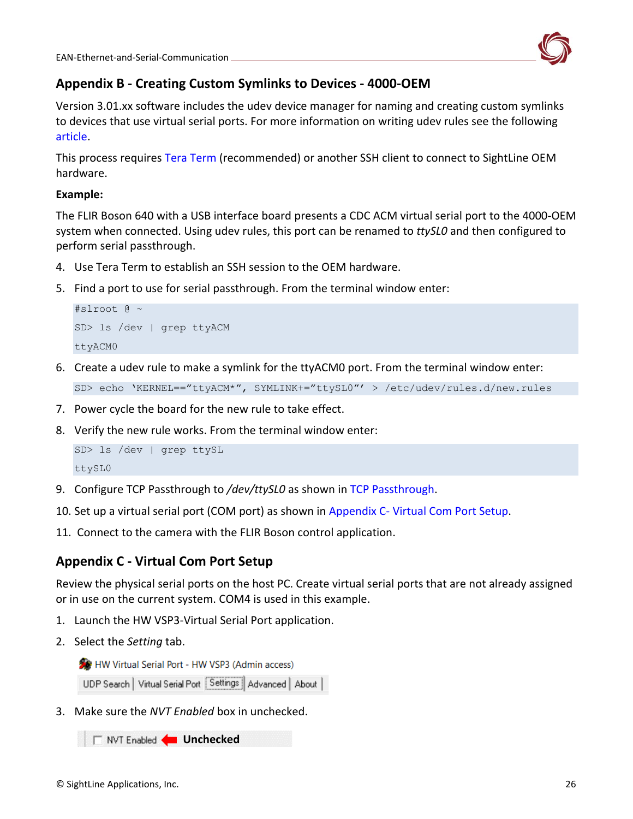

# <span id="page-26-0"></span>**Appendix B - Creating Custom Symlinks to Devices - 4000-OEM**

Version 3.01.xx software includes the udev device manager for naming and creating custom symlinks to devices that use virtual serial ports. For more information on writing udev rules see the following [article.](http://www.reactivated.net/writing_udev_rules.html)

This process requires [Tera Term](https://ttssh2.osdn.jp/index.html.en) (recommended) or another SSH client to connect to SightLine OEM hardware.

### **Example:**

The FLIR Boson 640 with a USB interface board presents a CDC ACM virtual serial port to the 4000-OEM system when connected. Using udev rules, this port can be renamed to *ttySL0* and then configured to perform serial passthrough.

- 4. Use Tera Term to establish an SSH session to the OEM hardware.
- 5. Find a port to use for serial passthrough. From the terminal window enter:

```
#slroot @ ~
SD> ls /dev | grep ttyACM
ttyACM0
```
6. Create a udev rule to make a symlink for the ttyACM0 port. From the terminal window enter:

```
SD> echo 'KERNEL=="ttyACM*", SYMLINK+="ttySL0"' > /etc/udev/rules.d/new.rules
```
- 7. Power cycle the board for the new rule to take effect.
- 8. Verify the new rule works. From the terminal window enter:

```
SD> ls /dev | grep ttySL
ttySL0
```
- 9. Configure TCP Passthrough to */dev/ttySL0* as shown in [TCP Passthrough.](#page-6-3)
- 10. Set up a virtual serial port (COM port) as shown in Appendix C- [Virtual Com Port Setup.](#page-26-1)
- 11. Connect to the camera with the FLIR Boson control application.

# <span id="page-26-1"></span>**Appendix C - Virtual Com Port Setup**

Review the physical serial ports on the host PC. Create virtual serial ports that are not already assigned or in use on the current system. COM4 is used in this example.

- 1. Launch the HW VSP3-Virtual Serial Port application.
- 2. Select the *Setting* tab.

HW Virtual Serial Port - HW VSP3 (Admin access)

UDP Search | Virtual Serial Port | Settings | Advanced | About |

3. Make sure the *NVT Enabled* box in unchecked.

**T** NVT Enabled **<u>In Unchecked</u>**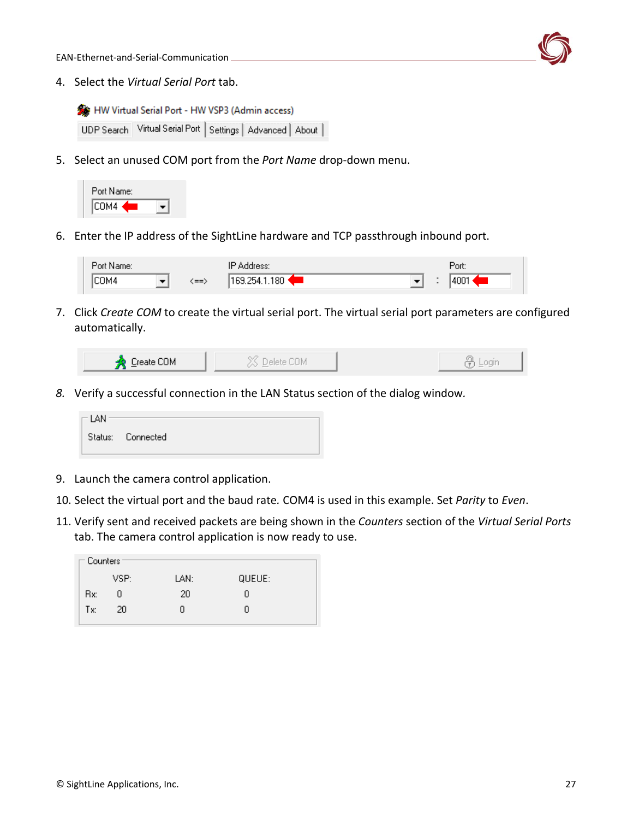EAN-Ethernet-and-Serial-Communication



4. Select the *Virtual Serial Port* tab.

```
HW Virtual Serial Port - HW VSP3 (Admin access)
 UDP Search Virtual Serial Port | Settings | Advanced | About |
```
5. Select an unused COM port from the *Port Name* drop-down menu.



6. Enter the IP address of the SightLine hardware and TCP passthrough inbound port.

| $\sim$<br>Port Name: |      | IP<br>Address:                                     | Port. |
|----------------------|------|----------------------------------------------------|-------|
| COM4                 | (==> | $^{\circ}$ .180 $\cdot$<br><sup>1</sup> 169.254.1. | 400   |

7. Click *Create COM* to create the virtual serial port. The virtual serial port parameters are configured automatically.

| Create COM |  | $ -$ |
|------------|--|------|
|            |  |      |

*8.* Verify a successful connection in the LAN Status section of the dialog window*.*

| $\sqsubset$ LAN |                   |  |
|-----------------|-------------------|--|
|                 | Status: Connected |  |

- 9. Launch the camera control application.
- 10. Select the virtual port and the baud rate*.* COM4 is used in this example. Set *Parity* to *Even*.
- 11. Verify sent and received packets are being shown in the *Counters* section of the *Virtual Serial Ports* tab. The camera control application is now ready to use.

|  | $\sqsubset$ Counters: |      |      |        |  |  |  |  |  |
|--|-----------------------|------|------|--------|--|--|--|--|--|
|  |                       |      |      |        |  |  |  |  |  |
|  |                       | VSP: | LAN: | QUEUE: |  |  |  |  |  |
|  | Bx:                   | n    | 20   | п      |  |  |  |  |  |
|  | Tx:                   | 20   | n    | п      |  |  |  |  |  |
|  |                       |      |      |        |  |  |  |  |  |